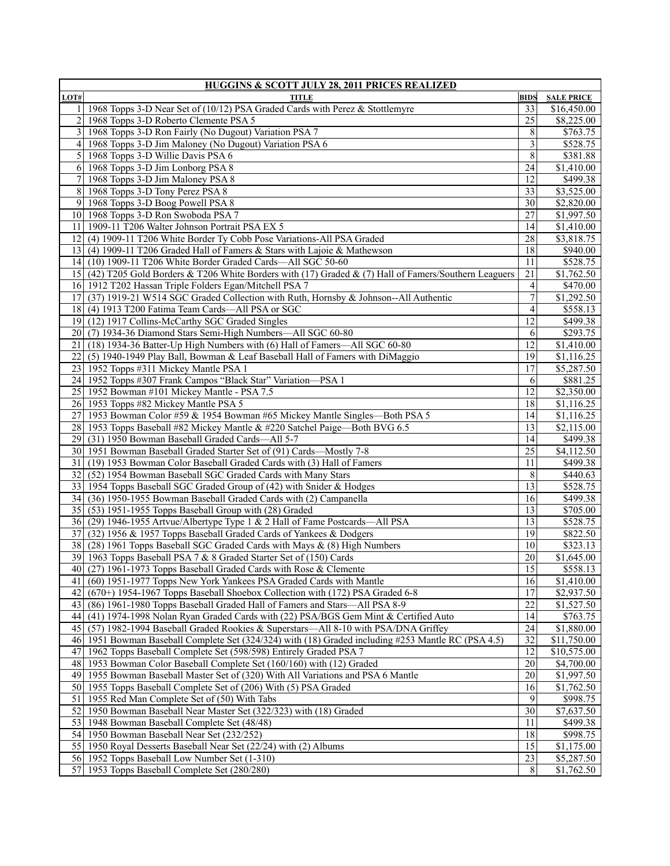| <b>HUGGINS &amp; SCOTT JULY 28, 2011 PRICES REALIZED</b> |                                                                                                     |                 |                       |
|----------------------------------------------------------|-----------------------------------------------------------------------------------------------------|-----------------|-----------------------|
| LOT#                                                     | <b>TITLE</b>                                                                                        | <b>BIDS</b>     | <b>SALE PRICE</b>     |
| 11                                                       | 1968 Topps 3-D Near Set of (10/12) PSA Graded Cards with Perez & Stottlemyre                        | 33              | \$16,450.00           |
| $2\vert$                                                 | 1968 Topps 3-D Roberto Clemente PSA 5                                                               | 25              | \$8,225.00            |
| 3                                                        | 1968 Topps 3-D Ron Fairly (No Dugout) Variation PSA 7                                               | 8               | \$763.75              |
|                                                          | 4 1968 Topps 3-D Jim Maloney (No Dugout) Variation PSA 6                                            | 3               | \$528.75              |
| $\mathfrak{sl}$                                          | 1968 Topps 3-D Willie Davis PSA 6                                                                   | 8               | $\overline{$}381.88$  |
|                                                          | 6 1968 Topps 3-D Jim Lonborg PSA 8                                                                  | 24              | $\overline{1,}410.00$ |
| $\overline{7}$                                           | 1968 Topps 3-D Jim Maloney PSA 8                                                                    | 12              | \$499.38              |
| 8                                                        | 1968 Topps 3-D Tony Perez PSA 8                                                                     | 33              |                       |
|                                                          |                                                                                                     |                 | \$3,525.00            |
| 9                                                        | 1968 Topps 3-D Boog Powell PSA 8                                                                    | 30              | \$2,820.00            |
|                                                          | 10 1968 Topps 3-D Ron Swoboda PSA 7                                                                 | 27              | \$1,997.50            |
| 11                                                       | 1909-11 T206 Walter Johnson Portrait PSA EX 5                                                       | 14              | \$1,410.00            |
| 12                                                       | (4) 1909-11 T206 White Border Ty Cobb Pose Variations-All PSA Graded                                | 28              | \$3,818.75            |
| 13 I                                                     | (4) 1909-11 T206 Graded Hall of Famers & Stars with Lajoie & Mathewson                              | 18              | \$940.00              |
|                                                          | 14 (10) 1909-11 T206 White Border Graded Cards—All SGC 50-60                                        | 11              | \$528.75              |
| 15 <sup>1</sup>                                          | (42) T205 Gold Borders & T206 White Borders with (17) Graded & (7) Hall of Famers/Southern Leaguers | 21              | $\overline{1,562.50}$ |
|                                                          | 16 1912 T202 Hassan Triple Folders Egan/Mitchell PSA 7                                              | $\vert 4 \vert$ | \$470.00              |
| 17                                                       | (37) 1919-21 W514 SGC Graded Collection with Ruth, Hornsby & Johnson--All Authentic                 | $\overline{7}$  | \$1,292.50            |
| 18                                                       | (4) 1913 T200 Fatima Team Cards-All PSA or SGC                                                      | 4               | \$558.13              |
|                                                          | 19 (12) 1917 Collins-McCarthy SGC Graded Singles                                                    | 12              | \$499.38              |
|                                                          | 20 (7) 1934-36 Diamond Stars Semi-High Numbers—All SGC 60-80                                        | 6               | \$293.75              |
| 21                                                       | (18) 1934-36 Batter-Up High Numbers with (6) Hall of Famers-All SGC 60-80                           | $\overline{12}$ | $\overline{1,}410.00$ |
| 22                                                       | (5) 1940-1949 Play Ball, Bowman & Leaf Baseball Hall of Famers with DiMaggio                        | 19              | \$1,116.25            |
|                                                          | 23 1952 Topps #311 Mickey Mantle PSA 1                                                              | 17              | \$5,287.50            |
|                                                          | 24 1952 Topps #307 Frank Campos "Black Star" Variation-PSA 1                                        | 6               | \$881.25              |
|                                                          | 25 1952 Bowman #101 Mickey Mantle - PSA 7.5                                                         | 12              | \$2,350.00            |
|                                                          | 26 1953 Topps #82 Mickey Mantle PSA 5                                                               | 18              | \$1,116.25            |
| 27                                                       | 1953 Bowman Color #59 & 1954 Bowman #65 Mickey Mantle Singles-Both PSA 5                            | 14              | \$1,116.25            |
| 28 I                                                     | 1953 Topps Baseball #82 Mickey Mantle & #220 Satchel Paige—Both BVG 6.5                             | 13              | \$2,115.00            |
| 29 I                                                     | (31) 1950 Bowman Baseball Graded Cards-All 5-7                                                      | 14              | \$499.38              |
|                                                          | 30 1951 Bowman Baseball Graded Starter Set of (91) Cards—Mostly 7-8                                 | $\overline{25}$ | \$4,112.50            |
|                                                          |                                                                                                     |                 | $\overline{$499.38}$  |
| 31 I                                                     | (19) 1953 Bowman Color Baseball Graded Cards with (3) Hall of Famers                                | 11              |                       |
|                                                          | 32 (52) 1954 Bowman Baseball SGC Graded Cards with Many Stars                                       | 8               | \$440.63              |
|                                                          | 33 1954 Topps Baseball SGC Graded Group of (42) with Snider & Hodges                                | 13              | \$528.75              |
| 34                                                       | (36) 1950-1955 Bowman Baseball Graded Cards with (2) Campanella                                     | 16              | \$499.38              |
|                                                          | 35 (53) 1951-1955 Topps Baseball Group with (28) Graded                                             | 13              | \$705.00              |
|                                                          | 36 (29) 1946-1955 Artvue/Albertype Type 1 & 2 Hall of Fame Postcards—All PSA                        | 13              | \$528.75              |
| 37                                                       | (32) 1956 & 1957 Topps Baseball Graded Cards of Yankees & Dodgers                                   | 19              | \$822.50              |
| 38                                                       | (28) 1961 Topps Baseball SGC Graded Cards with Mays & (8) High Numbers                              | 10              | \$323.13              |
|                                                          | 39 1963 Topps Baseball PSA 7 & 8 Graded Starter Set of (150) Cards                                  | 20              | \$1,645.00            |
|                                                          | 40 (27) 1961-1973 Topps Baseball Graded Cards with Rose & Clemente                                  | 15              | \$558.13              |
| 411                                                      | (60) 1951-1977 Topps New York Yankees PSA Graded Cards with Mantle                                  | 16              | \$1,410.00            |
| 42                                                       | $(670+)$ 1954-1967 Topps Baseball Shoebox Collection with $(172)$ PSA Graded 6-8                    | 17              | \$2,937.50            |
| 43                                                       | (86) 1961-1980 Topps Baseball Graded Hall of Famers and Stars—All PSA 8-9                           | 22              | \$1,527.50            |
| 44                                                       | (41) 1974-1998 Nolan Ryan Graded Cards with (22) PSA/BGS Gem Mint & Certified Auto                  | 14              | \$763.75              |
| 45                                                       | (57) 1982-1994 Baseball Graded Rookies & Superstars-All 8-10 with PSA/DNA Griffey                   | 24              | \$1,880.00            |
|                                                          | 46 1951 Bowman Baseball Complete Set (324/324) with (18) Graded including #253 Mantle RC (PSA 4.5)  | 32              | \$11,750.00           |
| 47                                                       | 1962 Topps Baseball Complete Set (598/598) Entirely Graded PSA 7                                    | 12              | \$10,575.00           |
| 48                                                       | 1953 Bowman Color Baseball Complete Set (160/160) with (12) Graded                                  | 20              | \$4,700.00            |
|                                                          | 49 1955 Bowman Baseball Master Set of (320) With All Variations and PSA 6 Mantle                    | 20              | \$1,997.50            |
|                                                          | 50 1955 Topps Baseball Complete Set of (206) With (5) PSA Graded                                    | 16              | \$1,762.50            |
| 51                                                       | 1955 Red Man Complete Set of (50) With Tabs                                                         | 9               | $\overline{$998.75}$  |
| 52                                                       |                                                                                                     | 30              |                       |
|                                                          | 1950 Bowman Baseball Near Master Set (322/323) with (18) Graded                                     |                 | \$7,637.50            |
| 53                                                       | 1948 Bowman Baseball Complete Set (48/48)                                                           | 11              | \$499.38              |
|                                                          | 54 1950 Bowman Baseball Near Set (232/252)                                                          | 18              | \$998.75              |
|                                                          | 55 1950 Royal Desserts Baseball Near Set (22/24) with (2) Albums                                    | $\overline{15}$ | \$1,175.00            |
|                                                          | 56 1952 Topps Baseball Low Number Set (1-310)                                                       | 23              | \$5,287.50            |
| 57                                                       | 1953 Topps Baseball Complete Set (280/280)                                                          | 8               | \$1,762.50            |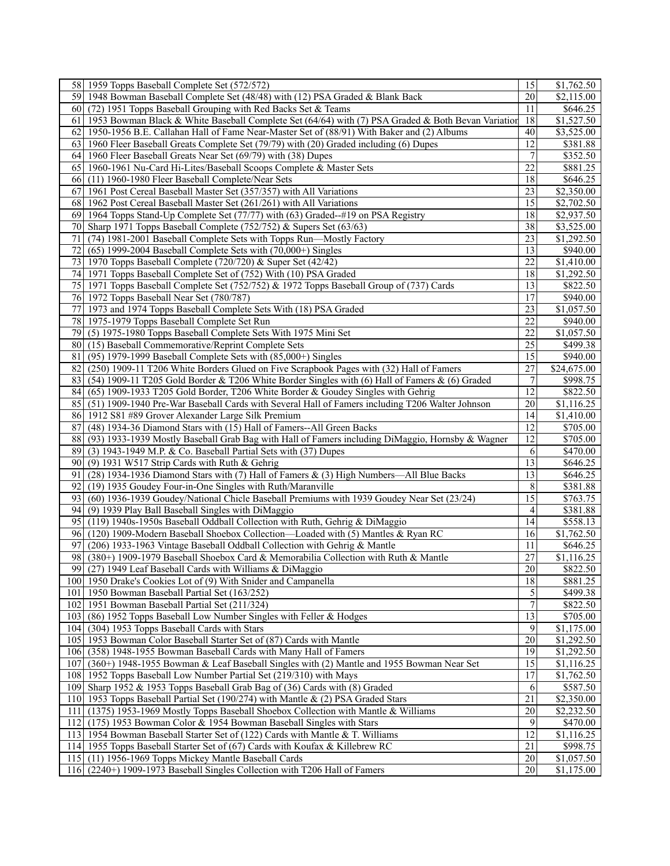| 58 1959 Topps Baseball Complete Set (572/572)                                                            | 15              | \$1,762.50             |
|----------------------------------------------------------------------------------------------------------|-----------------|------------------------|
| 1948 Bowman Baseball Complete Set (48/48) with (12) PSA Graded & Blank Back<br>59 I                      | 20              | \$2,115.00             |
| (72) 1951 Topps Baseball Grouping with Red Backs Set & Teams<br>60 I                                     | 11              | \$646.25               |
| 61<br>1953 Bowman Black & White Baseball Complete Set (64/64) with (7) PSA Graded & Both Bevan Variation | 18              | \$1,527.50             |
| 62<br>1950-1956 B.E. Callahan Hall of Fame Near-Master Set of (88/91) With Baker and (2) Albums          | 40              | \$3,525.00             |
| 1960 Fleer Baseball Greats Complete Set (79/79) with (20) Graded including (6) Dupes<br>63 I             | 12              | \$381.88               |
| 1960 Fleer Baseball Greats Near Set (69/79) with (38) Dupes<br>64 I                                      | 7               | \$352.50               |
| 1960-1961 Nu-Card Hi-Lites/Baseball Scoops Complete & Master Sets<br>651                                 | 22              | \$881.25               |
|                                                                                                          |                 |                        |
| (11) 1960-1980 Fleer Baseball Complete/Near Sets<br>661                                                  | 18              | \$646.25               |
| 67<br>1961 Post Cereal Baseball Master Set (357/357) with All Variations                                 | 23              | \$2,350.00             |
| 1962 Post Cereal Baseball Master Set (261/261) with All Variations<br>68 I                               | 15              | \$2,702.50             |
| 1964 Topps Stand-Up Complete Set (77/77) with (63) Graded--#19 on PSA Registry<br>691                    | 18              | \$2,937.50             |
| Sharp 1971 Topps Baseball Complete (752/752) & Supers Set (63/63)<br>70                                  | 38              | $\overline{$3,525.00}$ |
| 71<br>(74) 1981-2001 Baseball Complete Sets with Topps Run—Mostly Factory                                | 23              | \$1,292.50             |
| 72<br>$(65)$ 1999-2004 Baseball Complete Sets with $(70,000+)$ Singles                                   | 13              | \$940.00               |
| 1970 Topps Baseball Complete (720/720) & Super Set (42/42)<br>73 I                                       | 22              | \$1,410.00             |
| 74 1971 Topps Baseball Complete Set of (752) With (10) PSA Graded                                        | 18              | \$1,292.50             |
| 1971 Topps Baseball Complete Set (752/752) & 1972 Topps Baseball Group of (737) Cards<br>75 I            | 13              | \$822.50               |
| 76 1972 Topps Baseball Near Set (780/787)                                                                | 17              | \$940.00               |
| 1973 and 1974 Topps Baseball Complete Sets With (18) PSA Graded<br>77                                    | 23              | \$1,057.50             |
| 78 1975-1979 Topps Baseball Complete Set Run                                                             | 22              | \$940.00               |
| (5) 1975-1980 Topps Baseball Complete Sets With 1975 Mini Set<br>791                                     | 22              | \$1,057.50             |
| (15) Baseball Commemorative/Reprint Complete Sets<br>80                                                  | 25              | \$499.38               |
| 81<br>$(95)$ 1979-1999 Baseball Complete Sets with $(85,000+)$ Singles                                   | 15              | \$940.00               |
| (250) 1909-11 T206 White Borders Glued on Five Scrapbook Pages with (32) Hall of Famers<br>82            | 27              | \$24,675.00            |
| 83                                                                                                       | 7               |                        |
| (54) 1909-11 T205 Gold Border & T206 White Border Singles with (6) Hall of Famers $\&$ (6) Graded        | $\overline{12}$ | \$998.75               |
| (65) 1909-1933 T205 Gold Border, T206 White Border & Goudey Singles with Gehrig<br>84                    |                 | \$822.50               |
| 85<br>(51) 1909-1940 Pre-War Baseball Cards with Several Hall of Famers including T206 Walter Johnson    | 20              | \$1,116.25             |
| 86<br>1912 S81 #89 Grover Alexander Large Silk Premium                                                   | 14              | \$1,410.00             |
| 87<br>(48) 1934-36 Diamond Stars with (15) Hall of Famers--All Green Backs                               | 12              | \$705.00               |
| 88<br>(93) 1933-1939 Mostly Baseball Grab Bag with Hall of Famers including DiMaggio, Hornsby & Wagner   | 12              | \$705.00               |
| (3) 1943-1949 M.P. & Co. Baseball Partial Sets with (37) Dupes<br>89                                     | 6               | \$470.00               |
| 90<br>(9) 1931 W517 Strip Cards with Ruth & Gehrig                                                       | 13              | \$646.25               |
| 91<br>(28) 1934-1936 Diamond Stars with (7) Hall of Famers & (3) High Numbers—All Blue Backs             | 13              | \$646.25               |
| (19) 1935 Goudey Four-in-One Singles with Ruth/Maranville<br>92                                          | 8               | \$381.88               |
| 93<br>(60) 1936-1939 Goudey/National Chicle Baseball Premiums with 1939 Goudey Near Set (23/24)          | 15              | \$763.75               |
| 941<br>(9) 1939 Play Ball Baseball Singles with DiMaggio                                                 | 4               | \$381.88               |
| (119) 1940s-1950s Baseball Oddball Collection with Ruth, Gehrig & DiMaggio<br>951                        | 14              | \$558.13               |
| (120) 1909-Modern Baseball Shoebox Collection-Loaded with (5) Mantles & Ryan RC<br>961                   | 16              | \$1,762.50             |
| 97<br>(206) 1933-1963 Vintage Baseball Oddball Collection with Gehrig & Mantle                           | 11              | \$646.25               |
| (380+) 1909-1979 Baseball Shoebox Card & Memorabilia Collection with Ruth & Mantle<br>98                 | 27              | \$1,116.25             |
| 99 (27) 1949 Leaf Baseball Cards with Williams & DiMaggio                                                | $\overline{20}$ | \$822.50               |
| 100 1950 Drake's Cookies Lot of (9) With Snider and Campanella                                           | $\overline{18}$ | \$881.25               |
| 101   1950 Bowman Baseball Partial Set (163/252)                                                         | 5               | \$499.38               |
| 102 1951 Bowman Baseball Partial Set (211/324)                                                           | 7               | \$822.50               |
| 103 (86) 1952 Topps Baseball Low Number Singles with Feller & Hodges                                     | 13              | \$705.00               |
| 104 (304) 1953 Topps Baseball Cards with Stars                                                           | 9               | \$1,175.00             |
| 105 1953 Bowman Color Baseball Starter Set of (87) Cards with Mantle                                     | 20              |                        |
|                                                                                                          |                 | \$1,292.50             |
| 106 (358) 1948-1955 Bowman Baseball Cards with Many Hall of Famers                                       | 19              | \$1,292.50             |
| 107<br>(360+) 1948-1955 Bowman & Leaf Baseball Singles with (2) Mantle and 1955 Bowman Near Set          | 15              | \$1,116.25             |
| 108 1952 Topps Baseball Low Number Partial Set (219/310) with Mays                                       | 17              | \$1,762.50             |
| 109 Sharp 1952 & 1953 Topps Baseball Grab Bag of (36) Cards with (8) Graded                              | 6               | \$587.50               |
| 1953 Topps Baseball Partial Set (190/274) with Mantle & (2) PSA Graded Stars<br>110 <sup> </sup>         | 21              | \$2,350.00             |
| 111<br>(1375) 1953-1969 Mostly Topps Baseball Shoebox Collection with Mantle & Williams                  | 20              | \$2,232.50             |
| 112<br>(175) 1953 Bowman Color & 1954 Bowman Baseball Singles with Stars                                 | 9               | \$470.00               |
| 113 1954 Bowman Baseball Starter Set of (122) Cards with Mantle & T. Williams                            | 12              | \$1,116.25             |
| 114 1955 Topps Baseball Starter Set of (67) Cards with Koufax & Killebrew RC                             | 21              | \$998.75               |
| 115 (11) 1956-1969 Topps Mickey Mantle Baseball Cards                                                    | 20              | \$1,057.50             |
| 116 (2240+) 1909-1973 Baseball Singles Collection with T206 Hall of Famers                               | 20              | \$1,175.00             |
|                                                                                                          |                 |                        |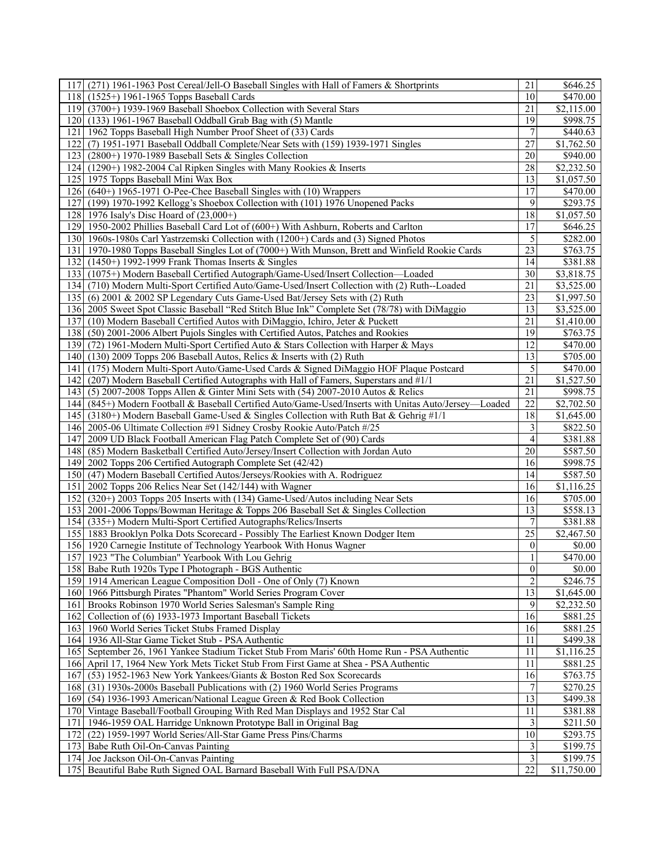| (271) 1961-1963 Post Cereal/Jell-O Baseball Singles with Hall of Famers & Shortprints<br>117 <sup> </sup> | 21               | \$646.25             |
|-----------------------------------------------------------------------------------------------------------|------------------|----------------------|
| $(1525+) 1961-1965$ Topps Baseball Cards<br>118 I                                                         | 10               | \$470.00             |
| 119 (3700+) 1939-1969 Baseball Shoebox Collection with Several Stars                                      | 21               | \$2,115.00           |
| 120 (133) 1961-1967 Baseball Oddball Grab Bag with (5) Mantle                                             | 19               | \$998.75             |
| 121<br>1962 Topps Baseball High Number Proof Sheet of (33) Cards                                          | 7                | \$440.63             |
| (7) 1951-1971 Baseball Oddball Complete/Near Sets with (159) 1939-1971 Singles<br>1221                    | 27               | \$1,762.50           |
| 123 (2800+) 1970-1989 Baseball Sets & Singles Collection                                                  | 20               | \$940.00             |
| 124 (1290+) 1982-2004 Cal Ripken Singles with Many Rookies & Inserts                                      | 28               | \$2,232.50           |
| 125 1975 Topps Baseball Mini Wax Box                                                                      | 13               | \$1,057.50           |
| 126 (640+) 1965-1971 O-Pee-Chee Baseball Singles with (10) Wrappers                                       | 17               | \$470.00             |
| (199) 1970-1992 Kellogg's Shoebox Collection with (101) 1976 Unopened Packs<br>1271                       | 9                | \$293.75             |
| 128 1976 Isaly's Disc Hoard of (23,000+)                                                                  | $\overline{18}$  | \$1,057.50           |
| 1291<br>1950-2002 Phillies Baseball Card Lot of (600+) With Ashburn, Roberts and Carlton                  | 17               | \$646.25             |
| 130 1960s-1980s Carl Yastrzemski Collection with (1200+) Cards and (3) Signed Photos                      | 5                | \$282.00             |
|                                                                                                           | 23               | \$763.75             |
| 131 1970-1980 Topps Baseball Singles Lot of (7000+) With Munson, Brett and Winfield Rookie Cards          |                  |                      |
| 132 (1450+) 1992-1999 Frank Thomas Inserts & Singles                                                      | 14               | \$381.88             |
| 133 (1075+) Modern Baseball Certified Autograph/Game-Used/Insert Collection—Loaded                        | 30               | \$3,818.75           |
| 134 (710) Modern Multi-Sport Certified Auto/Game-Used/Insert Collection with (2) Ruth--Loaded             | 21               | \$3,525.00           |
| 135 (6) 2001 & 2002 SP Legendary Cuts Game-Used Bat/Jersey Sets with (2) Ruth                             | 23               | \$1,997.50           |
| 136 2005 Sweet Spot Classic Baseball "Red Stitch Blue Ink" Complete Set (78/78) with DiMaggio             | 13               | \$3,525.00           |
| 137 (10) Modern Baseball Certified Autos with DiMaggio, Ichiro, Jeter & Puckett                           | 21               | \$1,410.00           |
| (50) 2001-2006 Albert Pujols Singles with Certified Autos, Patches and Rookies<br>1381                    | 19               | \$763.75             |
| 139 (72) 1961-Modern Multi-Sport Certified Auto & Stars Collection with Harper & Mays                     | 12               | \$470.00             |
| 140 (130) 2009 Topps 206 Baseball Autos, Relics & Inserts with (2) Ruth                                   | 13               | \$705.00             |
| 141 (175) Modern Multi-Sport Auto/Game-Used Cards & Signed DiMaggio HOF Plaque Postcard                   | $\sqrt{5}$       | \$470.00             |
| (207) Modern Baseball Certified Autographs with Hall of Famers, Superstars and #1/1<br>1421               | 21               | \$1,527.50           |
| 143 (5) 2007-2008 Topps Allen & Ginter Mini Sets with (54) 2007-2010 Autos & Relics                       | 21               | \$998.75             |
| 144 (845+) Modern Football & Baseball Certified Auto/Game-Used/Inserts with Unitas Auto/Jersey—Loaded     | 22               | \$2,702.50           |
| 145 (3180+) Modern Baseball Game-Used & Singles Collection with Ruth Bat & Gehrig #1/1                    | 18               | \$1,645.00           |
| 146 2005-06 Ultimate Collection #91 Sidney Crosby Rookie Auto/Patch #/25                                  | 3                | \$822.50             |
| 2009 UD Black Football American Flag Patch Complete Set of (90) Cards<br>1471                             | 4                | \$381.88             |
| 148<br>(85) Modern Basketball Certified Auto/Jersey/Insert Collection with Jordan Auto                    | 20               | \$587.50             |
| 1491<br>2002 Topps 206 Certified Autograph Complete Set (42/42)                                           | 16               | \$998.75             |
| 150 (47) Modern Baseball Certified Autos/Jerseys/Rookies with A. Rodriguez                                | 14               | \$587.50             |
| 151   2002 Topps 206 Relics Near Set (142/144) with Wagner                                                | 16               | \$1,116.25           |
| (320+) 2003 Topps 205 Inserts with (134) Game-Used/Autos including Near Sets<br>152                       | 16               | \$705.00             |
| 153 2001-2006 Topps/Bowman Heritage & Topps 206 Baseball Set & Singles Collection                         | $\overline{13}$  | \$558.13             |
| 154 (335+) Modern Multi-Sport Certified Autographs/Relics/Inserts                                         | 7                | $\overline{$}381.88$ |
| 155 1883 Brooklyn Polka Dots Scorecard - Possibly The Earliest Known Dodger Item                          | 25               | \$2,467.50           |
| 156 1920 Carnegie Institute of Technology Yearbook With Honus Wagner                                      | $\boldsymbol{0}$ | \$0.00               |
| 157 1923 "The Columbian" Yearbook With Lou Gehrig                                                         |                  | \$470.00             |
| 158 Babe Ruth 1920s Type I Photograph - BGS Authentic                                                     | $\overline{0}$   | \$0.00               |
| 159 1914 American League Composition Doll - One of Only (7) Known                                         | $\overline{2}$   | $\overline{$}246.75$ |
| 160 1966 Pittsburgh Pirates "Phantom" World Series Program Cover                                          | 13               | \$1,645.00           |
| 161 Brooks Robinson 1970 World Series Salesman's Sample Ring                                              | 9                | \$2,232.50           |
| 162<br>Collection of (6) 1933-1973 Important Baseball Tickets                                             | 16               | \$881.25             |
| 163 1960 World Series Ticket Stubs Framed Display                                                         | 16               | \$881.25             |
| 164 1936 All-Star Game Ticket Stub - PSA Authentic                                                        | 11               | \$499.38             |
| 165 September 26, 1961 Yankee Stadium Ticket Stub From Maris' 60th Home Run - PSA Authentic               | 11               | \$1,116.25           |
| 166 April 17, 1964 New York Mets Ticket Stub From First Game at Shea - PSA Authentic                      | 11               | \$881.25             |
| (53) 1952-1963 New York Yankees/Giants & Boston Red Sox Scorecards<br>167                                 | 16               | \$763.75             |
| 168<br>(31) 1930s-2000s Baseball Publications with (2) 1960 World Series Programs                         | $\overline{7}$   | \$270.25             |
| (54) 1936-1993 American/National League Green & Red Book Collection<br>169                                | 13               | \$499.38             |
| 170 Vintage Baseball/Football Grouping With Red Man Displays and 1952 Star Cal                            | 11               | \$381.88             |
| 171<br>1946-1959 OAL Harridge Unknown Prototype Ball in Original Bag                                      | 3                | \$211.50             |
| (22) 1959-1997 World Series/All-Star Game Press Pins/Charms<br>1721                                       | 10               | \$293.75             |
| 173 Babe Ruth Oil-On-Canvas Painting                                                                      | 3                | \$199.75             |
| 174 Joe Jackson Oil-On-Canvas Painting                                                                    | 3                | \$199.75             |
| 175 Beautiful Babe Ruth Signed OAL Barnard Baseball With Full PSA/DNA                                     | 22               | \$11,750.00          |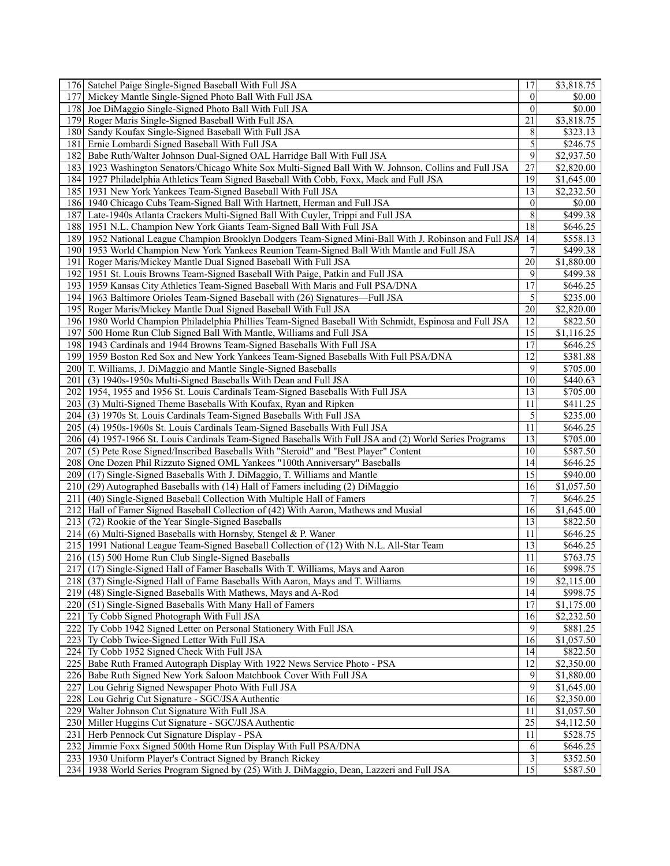| 176 Satchel Paige Single-Signed Baseball With Full JSA                                                    | 17               | \$3,818.75             |
|-----------------------------------------------------------------------------------------------------------|------------------|------------------------|
| 177<br>Mickey Mantle Single-Signed Photo Ball With Full JSA                                               | $\mathbf{0}$     | \$0.00                 |
| 178 Joe DiMaggio Single-Signed Photo Ball With Full JSA                                                   | $\theta$         | \$0.00                 |
| Roger Maris Single-Signed Baseball With Full JSA<br>1791                                                  | 21               | \$3,818.75             |
| 180 Sandy Koufax Single-Signed Baseball With Full JSA                                                     | 8                | \$323.13               |
| Ernie Lombardi Signed Baseball With Full JSA<br>181                                                       | 5                | \$246.75               |
| Babe Ruth/Walter Johnson Dual-Signed OAL Harridge Ball With Full JSA<br>182                               | 9                | \$2,937.50             |
| 183<br>1923 Washington Senators/Chicago White Sox Multi-Signed Ball With W. Johnson, Collins and Full JSA | 27               | \$2,820.00             |
| 184 1927 Philadelphia Athletics Team Signed Baseball With Cobb, Foxx, Mack and Full JSA                   | 19               | \$1,645.00             |
| 185   1931 New York Yankees Team-Signed Baseball With Full JSA                                            | 13               | \$2,232.50             |
| 186 1940 Chicago Cubs Team-Signed Ball With Hartnett, Herman and Full JSA                                 | $\boldsymbol{0}$ | \$0.00                 |
|                                                                                                           | 8                |                        |
| 187 Late-1940s Atlanta Crackers Multi-Signed Ball With Cuyler, Trippi and Full JSA                        |                  | \$499.38               |
| 188 1951 N.L. Champion New York Giants Team-Signed Ball With Full JSA                                     | 18               | \$646.25               |
| 189 1952 National League Champion Brooklyn Dodgers Team-Signed Mini-Ball With J. Robinson and Full JSA    | 14               | \$558.13               |
| 190 1953 World Champion New York Yankees Reunion Team-Signed Ball With Mantle and Full JSA                | 7                | \$499.38               |
| Roger Maris/Mickey Mantle Dual Signed Baseball With Full JSA<br>191                                       | 20               | \$1,880.00             |
| 192<br>1951 St. Louis Browns Team-Signed Baseball With Paige, Patkin and Full JSA                         | 9                | \$499.38               |
| 193 1959 Kansas City Athletics Team-Signed Baseball With Maris and Full PSA/DNA                           | 17               | \$646.25               |
| 1941<br>1963 Baltimore Orioles Team-Signed Baseball with (26) Signatures—Full JSA                         | 5                | \$235.00               |
| 195 Roger Maris/Mickey Mantle Dual Signed Baseball With Full JSA                                          | 20               | \$2,820.00             |
| 196 1980 World Champion Philadelphia Phillies Team-Signed Baseball With Schmidt, Espinosa and Full JSA    | 12               | \$822.50               |
| 197<br>500 Home Run Club Signed Ball With Mantle, Williams and Full JSA                                   | $\overline{15}$  | \$1,116.25             |
| 198 1943 Cardinals and 1944 Browns Team-Signed Baseballs With Full JSA                                    | 17               | \$646.25               |
| 1959 Boston Red Sox and New York Yankees Team-Signed Baseballs With Full PSA/DNA<br>199                   | 12               | \$381.88               |
| 200 T. Williams, J. DiMaggio and Mantle Single-Signed Baseballs                                           | 9                | \$705.00               |
| (3) 1940s-1950s Multi-Signed Baseballs With Dean and Full JSA<br>201                                      | 10               | \$440.63               |
| 1954, 1955 and 1956 St. Louis Cardinals Team-Signed Baseballs With Full JSA<br>202                        | 13               | \$705.00               |
| 203 (3) Multi-Signed Theme Baseballs With Koufax, Ryan and Ripken                                         | 11               | \$411.25               |
| (3) 1970s St. Louis Cardinals Team-Signed Baseballs With Full JSA<br>2041                                 | 5                | \$235.00               |
|                                                                                                           | 11               | \$646.25               |
| 205 (4) 1950s-1960s St. Louis Cardinals Team-Signed Baseballs With Full JSA                               | 13               |                        |
| 206 (4) 1957-1966 St. Louis Cardinals Team-Signed Baseballs With Full JSA and (2) World Series Programs   | 10               | \$705.00               |
| 207<br>(5) Pete Rose Signed/Inscribed Baseballs With "Steroid" and "Best Player" Content                  |                  | \$587.50               |
| 208<br>One Dozen Phil Rizzuto Signed OML Yankees "100th Anniversary" Baseballs                            | 14               | \$646.25               |
| 209<br>(17) Single-Signed Baseballs With J. DiMaggio, T. Williams and Mantle                              | 15               | \$940.00               |
| 210 (29) Autographed Baseballs with (14) Hall of Famers including (2) DiMaggio                            | 16               | \$1,057.50             |
| (40) Single-Signed Baseball Collection With Multiple Hall of Famers<br>211                                | 7                | \$646.25               |
| 212 Hall of Famer Signed Baseball Collection of (42) With Aaron, Mathews and Musial                       | 16               | \$1,645.00             |
| 213 (72) Rookie of the Year Single-Signed Baseballs                                                       | 13               | \$822.50               |
| 214 (6) Multi-Signed Baseballs with Hornsby, Stengel & P. Waner                                           | 11               | \$646.25               |
| 215 1991 National League Team-Signed Baseball Collection of (12) With N.L. All-Star Team                  | 13               | \$646.25               |
| 216 (15) 500 Home Run Club Single-Signed Baseballs                                                        | 11               | \$763.75               |
| 217 (17) Single-Signed Hall of Famer Baseballs With T. Williams, Mays and Aaron                           | 16               | \$998.75               |
| 218 (37) Single-Signed Hall of Fame Baseballs With Aaron, Mays and T. Williams                            | $\overline{19}$  | \$2,115.00             |
| 219 (48) Single-Signed Baseballs With Mathews, Mays and A-Rod                                             | 14               | \$998.75               |
| 220 (51) Single-Signed Baseballs With Many Hall of Famers                                                 | 17               | \$1,175.00             |
| Ty Cobb Signed Photograph With Full JSA<br>221                                                            | 16               | \$2,232.50             |
| 222<br>Ty Cobb 1942 Signed Letter on Personal Stationery With Full JSA                                    | 9                | \$881.25               |
| 223 Ty Cobb Twice-Signed Letter With Full JSA                                                             | 16               | \$1,057.50             |
| 224 Ty Cobb 1952 Signed Check With Full JSA                                                               | 14               | \$822.50               |
| 225 Babe Ruth Framed Autograph Display With 1922 News Service Photo - PSA                                 | 12               | \$2,350.00             |
| 226 Babe Ruth Signed New York Saloon Matchbook Cover With Full JSA                                        | 9                | \$1,880.00             |
| 227<br>Lou Gehrig Signed Newspaper Photo With Full JSA                                                    | $\overline{9}$   | \$1,645.00             |
| 228 Lou Gehrig Cut Signature - SGC/JSA Authentic                                                          | 16               | \$2,350.00             |
| 229<br>Walter Johnson Cut Signature With Full JSA                                                         | 11               | \$1,057.50             |
|                                                                                                           | $\overline{25}$  | $\overline{84,}112.50$ |
| 230 Miller Huggins Cut Signature - SGC/JSA Authentic                                                      | 11               |                        |
| Herb Pennock Cut Signature Display - PSA<br>231                                                           |                  | \$528.75               |
| 232<br>Jimmie Foxx Signed 500th Home Run Display With Full PSA/DNA                                        | 6                | \$646.25               |
| 233 1930 Uniform Player's Contract Signed by Branch Rickey                                                | 3                | \$352.50               |
| 234 1938 World Series Program Signed by (25) With J. DiMaggio, Dean, Lazzeri and Full JSA                 | 15               | \$587.50               |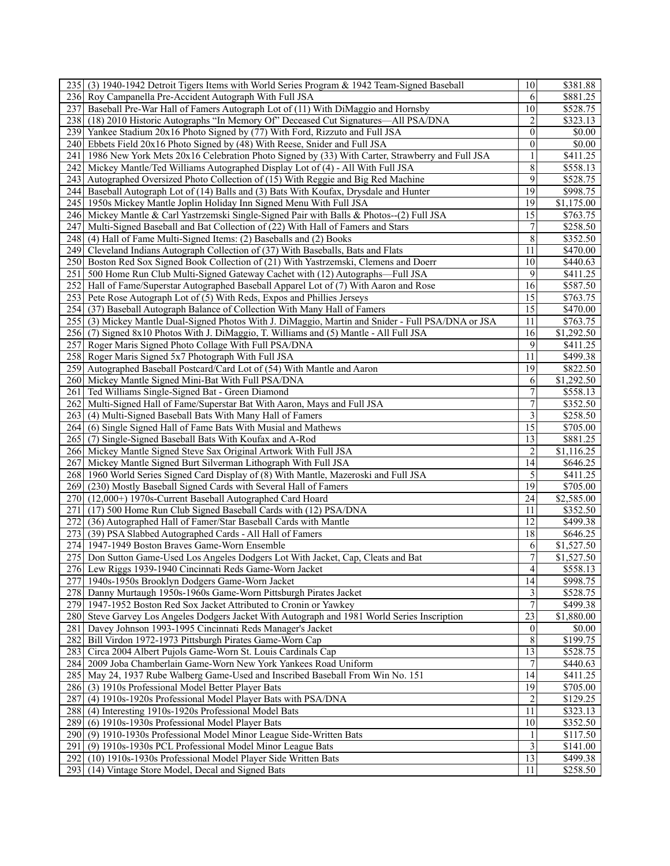| 235 (3) 1940-1942 Detroit Tigers Items with World Series Program & 1942 Team-Signed Baseball       | 10                 | \$381.88              |
|----------------------------------------------------------------------------------------------------|--------------------|-----------------------|
| 236 Roy Campanella Pre-Accident Autograph With Full JSA                                            | 6                  | \$881.25              |
| 237I<br>Baseball Pre-War Hall of Famers Autograph Lot of (11) With DiMaggio and Hornsby            | 10                 | \$528.75              |
| 238 (18) 2010 Historic Autographs "In Memory Of" Deceased Cut Signatures—All PSA/DNA               | $\overline{c}$     | \$323.13              |
| 239 Yankee Stadium 20x16 Photo Signed by (77) With Ford, Rizzuto and Full JSA                      | $\mathbf{0}$       | \$0.00                |
|                                                                                                    | $\theta$           |                       |
| 240 Ebbets Field 20x16 Photo Signed by (48) With Reese, Snider and Full JSA                        |                    | \$0.00                |
| 241 1986 New York Mets 20x16 Celebration Photo Signed by (33) With Carter, Strawberry and Full JSA | 1                  | \$411.25              |
| 242 Mickey Mantle/Ted Williams Autographed Display Lot of (4) - All With Full JSA                  | $\,$ $\,$          | \$558.13              |
| 243 Autographed Oversized Photo Collection of (15) With Reggie and Big Red Machine                 | 9                  | \$528.75              |
| 244 Baseball Autograph Lot of (14) Balls and (3) Bats With Koufax, Drysdale and Hunter             | 19                 | \$998.75              |
| 245 1950s Mickey Mantle Joplin Holiday Inn Signed Menu With Full JSA                               | 19                 | \$1,175.00            |
| 246 Mickey Mantle & Carl Yastrzemski Single-Signed Pair with Balls & Photos--(2) Full JSA          | 15                 | \$763.75              |
| 247<br>Multi-Signed Baseball and Bat Collection of (22) With Hall of Famers and Stars              | $\boldsymbol{7}$   | \$258.50              |
| 248 (4) Hall of Fame Multi-Signed Items: (2) Baseballs and (2) Books                               | $\overline{\bf 8}$ | \$352.50              |
| 249 Cleveland Indians Autograph Collection of (37) With Baseballs, Bats and Flats                  | 11                 | \$470.00              |
| 250 Boston Red Sox Signed Book Collection of (21) With Yastrzemski, Clemens and Doerr              | 10                 | \$440.63              |
| 251 500 Home Run Club Multi-Signed Gateway Cachet with (12) Autographs—Full JSA                    | 9                  | \$411.25              |
| 252 Hall of Fame/Superstar Autographed Baseball Apparel Lot of (7) With Aaron and Rose             | 16                 | \$587.50              |
|                                                                                                    | 15                 |                       |
| 253 Pete Rose Autograph Lot of (5) With Reds, Expos and Phillies Jerseys                           | 15                 | \$763.75              |
| 254 (37) Baseball Autograph Balance of Collection With Many Hall of Famers                         |                    | \$470.00              |
| 255 (3) Mickey Mantle Dual-Signed Photos With J. DiMaggio, Martin and Snider - Full PSA/DNA or JSA | 11                 | \$763.75              |
| 256 (7) Signed 8x10 Photos With J. DiMaggio, T. Williams and (5) Mantle - All Full JSA             | 16                 | $\overline{1,}292.50$ |
| 257<br>Roger Maris Signed Photo Collage With Full PSA/DNA                                          | 9                  | \$411.25              |
| 258 Roger Maris Signed 5x7 Photograph With Full JSA                                                | 11                 | \$499.38              |
| 259 Autographed Baseball Postcard/Card Lot of (54) With Mantle and Aaron                           | 19                 | \$822.50              |
| 260 Mickey Mantle Signed Mini-Bat With Full PSA/DNA                                                | 6                  | \$1,292.50            |
| 261 Ted Williams Single-Signed Bat - Green Diamond                                                 | $\overline{7}$     | \$558.13              |
| 262 Multi-Signed Hall of Fame/Superstar Bat With Aaron, Mays and Full JSA                          | $\boldsymbol{7}$   | \$352.50              |
| 263 (4) Multi-Signed Baseball Bats With Many Hall of Famers                                        | 3                  | \$258.50              |
| 264 (6) Single Signed Hall of Fame Bats With Musial and Mathews                                    | 15                 | \$705.00              |
| 265 (7) Single-Signed Baseball Bats With Koufax and A-Rod                                          | 13                 | \$881.25              |
| 266 Mickey Mantle Signed Steve Sax Original Artwork With Full JSA                                  | $\overline{c}$     | \$1,116.25            |
| 267<br>Mickey Mantle Signed Burt Silverman Lithograph With Full JSA                                | 14                 | \$646.25              |
| 268 1960 World Series Signed Card Display of (8) With Mantle, Mazeroski and Full JSA               | 5                  | \$411.25              |
|                                                                                                    |                    |                       |
| 269 (230) Mostly Baseball Signed Cards with Several Hall of Famers                                 | 19                 | \$705.00              |
| 270 (12,000+) 1970s-Current Baseball Autographed Card Hoard                                        | 24                 | \$2,585.00            |
| (17) 500 Home Run Club Signed Baseball Cards with (12) PSA/DNA<br>271                              | 11                 | \$352.50              |
| 272<br>(36) Autographed Hall of Famer/Star Baseball Cards with Mantle                              | 12                 | \$499.38              |
| 273 (39) PSA Slabbed Autographed Cards - All Hall of Famers                                        | 18                 | \$646.25              |
| 274 1947-1949 Boston Braves Game-Worn Ensemble                                                     | 6                  | \$1,527.50            |
| 275 Don Sutton Game-Used Los Angeles Dodgers Lot With Jacket, Cap, Cleats and Bat                  | $\overline{7}$     | \$1,527.50            |
| 276 Lew Riggs 1939-1940 Cincinnati Reds Game-Worn Jacket                                           | 4                  | \$558.13              |
| 277 1940s-1950s Brooklyn Dodgers Game-Worn Jacket                                                  | 14                 | \$998.75              |
| 278 Danny Murtaugh 1950s-1960s Game-Worn Pittsburgh Pirates Jacket                                 | 3                  | \$528.75              |
| 279 1947-1952 Boston Red Sox Jacket Attributed to Cronin or Yawkey                                 | $\overline{7}$     | \$499.38              |
| 280 Steve Garvey Los Angeles Dodgers Jacket With Autograph and 1981 World Series Inscription       | $\overline{23}$    | \$1,880.00            |
| 281 Davey Johnson 1993-1995 Cincinnati Reds Manager's Jacket                                       | $\mathbf{0}$       | \$0.00                |
| 282 Bill Virdon 1972-1973 Pittsburgh Pirates Game-Worn Cap                                         | 8                  | \$199.75              |
| 283 Circa 2004 Albert Pujols Game-Worn St. Louis Cardinals Cap                                     | 13                 | \$528.75              |
|                                                                                                    |                    |                       |
| 284   2009 Joba Chamberlain Game-Worn New York Yankees Road Uniform                                | 7                  | \$440.63              |
| 285 May 24, 1937 Rube Walberg Game-Used and Inscribed Baseball From Win No. 151                    | 14                 | \$411.25              |
| 286 (3) 1910s Professional Model Better Player Bats                                                | 19                 | \$705.00              |
| 287<br>(4) 1910s-1920s Professional Model Player Bats with PSA/DNA                                 | $\overline{2}$     | \$129.25              |
| 288 (4) Interesting 1910s-1920s Professional Model Bats                                            | 11                 | \$323.13              |
| 289 (6) 1910s-1930s Professional Model Player Bats                                                 | 10                 | \$352.50              |
| 290 (9) 1910-1930s Professional Model Minor League Side-Written Bats                               |                    | \$117.50              |
| 291 <sup>]</sup><br>(9) 1910s-1930s PCL Professional Model Minor League Bats                       | 3                  | \$141.00              |
| 292<br>(10) 1910s-1930s Professional Model Player Side Written Bats                                | 13                 | \$499.38              |
| 293 (14) Vintage Store Model, Decal and Signed Bats                                                | 11                 | \$258.50              |
|                                                                                                    |                    |                       |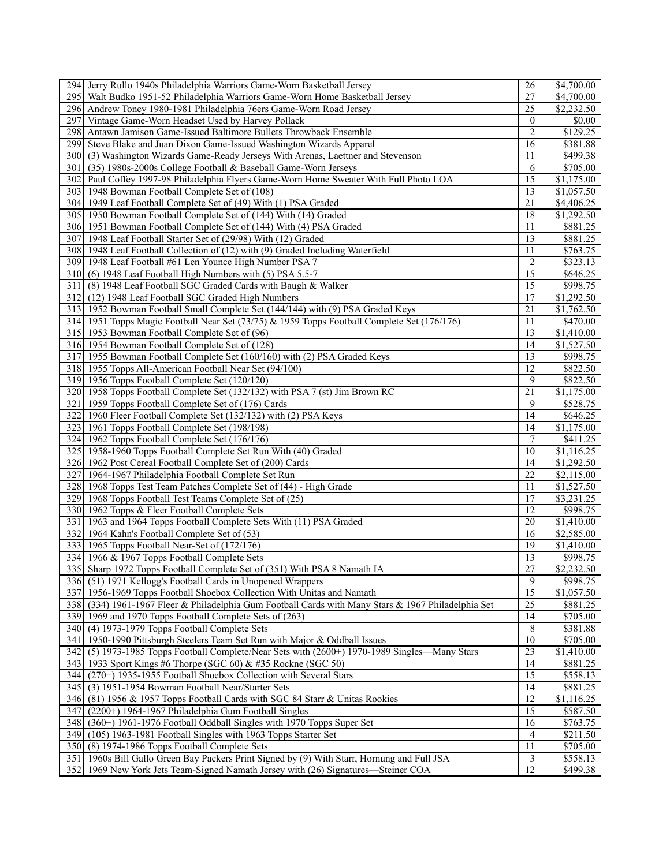|       | 294 Jerry Rullo 1940s Philadelphia Warriors Game-Worn Basketball Jersey                             | 26               | \$4,700.00            |
|-------|-----------------------------------------------------------------------------------------------------|------------------|-----------------------|
|       | 295 Walt Budko 1951-52 Philadelphia Warriors Game-Worn Home Basketball Jersey                       | 27               | \$4,700.00            |
|       | 296 Andrew Toney 1980-1981 Philadelphia 76ers Game-Worn Road Jersey                                 | 25               | \$2,232.50            |
| 297   | Vintage Game-Worn Headset Used by Harvey Pollack                                                    | $\theta$         | \$0.00                |
|       | 298 Antawn Jamison Game-Issued Baltimore Bullets Throwback Ensemble                                 | $\overline{c}$   | \$129.25              |
|       | 299 Steve Blake and Juan Dixon Game-Issued Washington Wizards Apparel                               | 16               | \$381.88              |
|       | 300 (3) Washington Wizards Game-Ready Jerseys With Arenas, Laettner and Stevenson                   | 11               | \$499.38              |
| 301 I | (35) 1980s-2000s College Football & Baseball Game-Worn Jerseys                                      | 6                | \$705.00              |
|       | 302 Paul Coffey 1997-98 Philadelphia Flyers Game-Worn Home Sweater With Full Photo LOA              | $\overline{15}$  | \$1,175.00            |
|       | 303 1948 Bowman Football Complete Set of (108)                                                      | 13               | \$1,057.50            |
|       |                                                                                                     | 21               | \$4,406.25            |
|       | 304 1949 Leaf Football Complete Set of (49) With (1) PSA Graded                                     |                  |                       |
|       | 305 1950 Bowman Football Complete Set of (144) With (14) Graded                                     | 18               | \$1,292.50            |
|       | 306 1951 Bowman Football Complete Set of (144) With (4) PSA Graded                                  | 11               | \$881.25              |
| 307   | 1948 Leaf Football Starter Set of (29/98) With (12) Graded                                          | 13               | \$881.25              |
|       | 308 1948 Leaf Football Collection of (12) with (9) Graded Including Waterfield                      | 11               | \$763.75              |
|       | 309 1948 Leaf Football #61 Len Younce High Number PSA 7                                             | $\overline{2}$   | \$323.13              |
|       | 310 (6) 1948 Leaf Football High Numbers with (5) PSA 5.5-7                                          | 15               | \$646.25              |
| 311   | (8) 1948 Leaf Football SGC Graded Cards with Baugh & Walker                                         | 15               | \$998.75              |
|       | 312 (12) 1948 Leaf Football SGC Graded High Numbers                                                 | 17               | \$1,292.50            |
|       | 313 1952 Bowman Football Small Complete Set (144/144) with (9) PSA Graded Keys                      | 21               | \$1,762.50            |
|       | 314 1951 Topps Magic Football Near Set (73/75) & 1959 Topps Football Complete Set (176/176)         | 11               | \$470.00              |
|       | 315 1953 Bowman Football Complete Set of (96)                                                       | 13               | \$1,410.00            |
|       | 316 1954 Bowman Football Complete Set of (128)                                                      | 14               | \$1,527.50            |
|       | 317 1955 Bowman Football Complete Set (160/160) with (2) PSA Graded Keys                            | 13               | \$998.75              |
|       | 318 1955 Topps All-American Football Near Set (94/100)                                              | 12               | \$822.50              |
|       | 319 1956 Topps Football Complete Set (120/120)                                                      | 9                | \$822.50              |
|       | 320 1958 Topps Football Complete Set (132/132) with PSA 7 (st) Jim Brown RC                         | 21               | \$1,175.00            |
| 321   | 1959 Topps Football Complete Set of (176) Cards                                                     | 9                | \$528.75              |
|       | 322 1960 Fleer Football Complete Set (132/132) with (2) PSA Keys                                    | 14               | \$646.25              |
|       | 323 1961 Topps Football Complete Set (198/198)                                                      | 14               | $\overline{1,175.00}$ |
|       | 324 1962 Topps Football Complete Set (176/176)                                                      | $\boldsymbol{7}$ | \$411.25              |
|       | 325 1958-1960 Topps Football Complete Set Run With (40) Graded                                      | 10               | \$1,116.25            |
|       |                                                                                                     | 14               | \$1,292.50            |
|       | 326 1962 Post Cereal Football Complete Set of (200) Cards                                           |                  |                       |
| 327   | 1964-1967 Philadelphia Football Complete Set Run                                                    | $\overline{22}$  | \$2,115.00            |
|       | 328 1968 Topps Test Team Patches Complete Set of (44) - High Grade                                  | 11               | \$1,527.50            |
|       | 329 1968 Topps Football Test Teams Complete Set of (25)                                             | 17               | \$3,231.25            |
|       | 330 1962 Topps & Fleer Football Complete Sets                                                       | 12               | \$998.75              |
| 331 I | 1963 and 1964 Topps Football Complete Sets With (11) PSA Graded                                     | 20               | \$1,410.00            |
|       | 332 1964 Kahn's Football Complete Set of (53)                                                       | 16               | \$2,585.00            |
|       | 333 1965 Topps Football Near-Set of (172/176)                                                       | 19               | \$1,410.00            |
|       | 334 1966 & 1967 Topps Football Complete Sets                                                        | 13               | \$998.75              |
|       | 335 Sharp 1972 Topps Football Complete Set of (351) With PSA 8 Namath IA                            | $\overline{27}$  | \$2,232.50            |
|       | 336 (51) 1971 Kellogg's Football Cards in Unopened Wrappers                                         | 9                | \$998.75              |
|       | 337 1956-1969 Topps Football Shoebox Collection With Unitas and Namath                              | $\overline{15}$  | \$1,057.50            |
|       | 338 (334) 1961-1967 Fleer & Philadelphia Gum Football Cards with Many Stars & 1967 Philadelphia Set | 25               | \$881.25              |
|       | 339 1969 and 1970 Topps Football Complete Sets of (263)                                             | 14               | \$705.00              |
|       | 340 (4) 1973-1979 Topps Football Complete Sets                                                      | 8                | \$381.88              |
|       | 341 1950-1990 Pittsburgh Steelers Team Set Run with Major & Oddball Issues                          | 10               | \$705.00              |
|       | 342 (5) 1973-1985 Topps Football Complete/Near Sets with (2600+) 1970-1989 Singles—Many Stars       | 23               | \$1,410.00            |
|       | 343 1933 Sport Kings #6 Thorpe (SGC 60) & #35 Rockne (SGC 50)                                       | 14               | \$881.25              |
|       | 344 (270+) 1935-1955 Football Shoebox Collection with Several Stars                                 | 15               | \$558.13              |
|       | 345 (3) 1951-1954 Bowman Football Near/Starter Sets                                                 | 14               | \$881.25              |
|       | 346 (81) 1956 & 1957 Topps Football Cards with SGC 84 Starr & Unitas Rookies                        | 12               | \$1,116.25            |
|       | 347 (2200+) 1964-1967 Philadelphia Gum Football Singles                                             | $\overline{15}$  | \$587.50              |
| 348   | (360+) 1961-1976 Football Oddball Singles with 1970 Topps Super Set                                 | 16               |                       |
|       |                                                                                                     |                  | \$763.75              |
|       | 349 (105) 1963-1981 Football Singles with 1963 Topps Starter Set                                    | 4                | \$211.50              |
|       | 350 (8) 1974-1986 Topps Football Complete Sets                                                      | 11               | \$705.00              |
|       | 351 1960s Bill Gallo Green Bay Packers Print Signed by (9) With Starr, Hornung and Full JSA         | $\vert 3 \vert$  | \$558.13              |
|       | 352 1969 New York Jets Team-Signed Namath Jersey with (26) Signatures-Steiner COA                   | 12               | \$499.38              |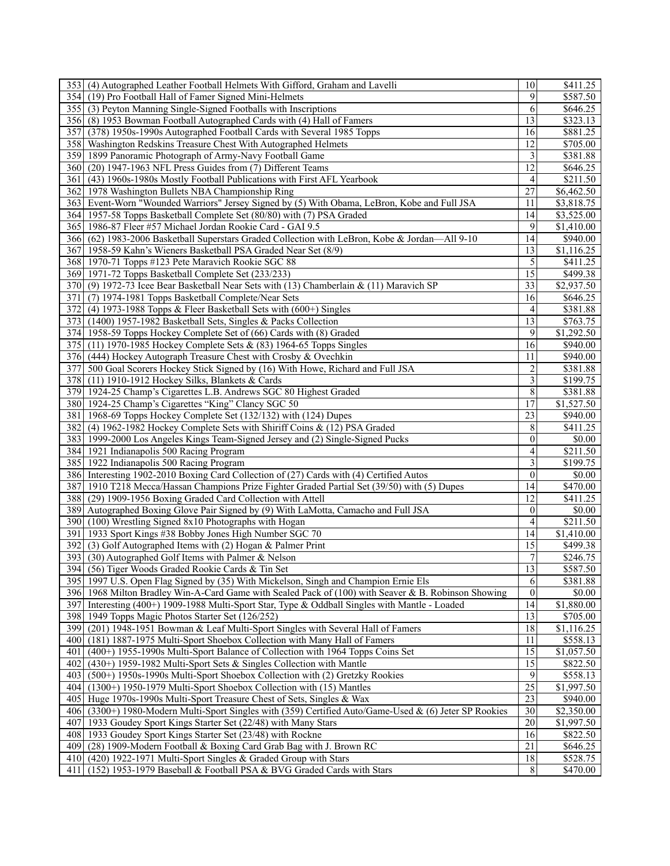|       | 353 (4) Autographed Leather Football Helmets With Gifford, Graham and Lavelli                          | 10 <sup>1</sup> | \$411.25               |
|-------|--------------------------------------------------------------------------------------------------------|-----------------|------------------------|
|       | 354 (19) Pro Football Hall of Famer Signed Mini-Helmets                                                | 9               | \$587.50               |
|       | 355 (3) Peyton Manning Single-Signed Footballs with Inscriptions                                       | 6               | \$646.25               |
|       | 356 (8) 1953 Bowman Football Autographed Cards with (4) Hall of Famers                                 | 13              | \$323.13               |
| 357   | (378) 1950s-1990s Autographed Football Cards with Several 1985 Topps                                   | 16              | \$881.25               |
|       | 358 Washington Redskins Treasure Chest With Autographed Helmets                                        | 12              | \$705.00               |
|       | 359 1899 Panoramic Photograph of Army-Navy Football Game                                               | 3               | \$381.88               |
|       | 360 (20) 1947-1963 NFL Press Guides from (7) Different Teams                                           | 12              | \$646.25               |
|       |                                                                                                        | 4               | \$211.50               |
| 361   | (43) 1960s-1980s Mostly Football Publications with First AFL Yearbook                                  |                 |                        |
|       | 362 1978 Washington Bullets NBA Championship Ring                                                      | 27              | \$6,462.50             |
|       | 363 Event-Worn "Wounded Warriors" Jersey Signed by (5) With Obama, LeBron, Kobe and Full JSA           | 11              | \$3,818.75             |
|       | 364 1957-58 Topps Basketball Complete Set (80/80) with (7) PSA Graded                                  | 14              | \$3,525.00             |
|       | 365 1986-87 Fleer #57 Michael Jordan Rookie Card - GAI 9.5                                             | 9               | \$1,410.00             |
|       | 366 (62) 1983-2006 Basketball Superstars Graded Collection with LeBron, Kobe & Jordan-All 9-10         | 14              | \$940.00               |
|       | 367 1958-59 Kahn's Wieners Basketball PSA Graded Near Set (8/9)                                        | 13              | \$1,116.25             |
|       | 368 1970-71 Topps #123 Pete Maravich Rookie SGC 88                                                     | 5               | \$411.25               |
|       | 369 1971-72 Topps Basketball Complete Set (233/233)                                                    | $\overline{15}$ | \$499.38               |
|       | 370 (9) 1972-73 Icee Bear Basketball Near Sets with (13) Chamberlain & (11) Maravich SP                | 33              | \$2,937.50             |
| 371   | (7) 1974-1981 Topps Basketball Complete/Near Sets                                                      | 16              | \$646.25               |
| 372   | (4) 1973-1988 Topps & Fleer Basketball Sets with $(600+)$ Singles                                      | 4               | \$381.88               |
|       | 373 (1400) 1957-1982 Basketball Sets, Singles & Packs Collection                                       | 13              | \$763.75               |
|       | 374 1958-59 Topps Hockey Complete Set of (66) Cards with (8) Graded                                    | 9               | \$1,292.50             |
|       | 375 (11) 1970-1985 Hockey Complete Sets & (83) 1964-65 Topps Singles                                   | 16              | \$940.00               |
|       | 376 (444) Hockey Autograph Treasure Chest with Crosby & Ovechkin                                       | 11              | \$940.00               |
|       | 377 500 Goal Scorers Hockey Stick Signed by (16) With Howe, Richard and Full JSA                       | $\overline{c}$  | \$381.88               |
|       | 378 (11) 1910-1912 Hockey Silks, Blankets & Cards                                                      | 3               | \$199.75               |
|       | 379 1924-25 Champ's Cigarettes L.B. Andrews SGC 80 Highest Graded                                      | 8               |                        |
|       |                                                                                                        |                 | \$381.88               |
|       | 380 1924-25 Champ's Cigarettes "King" Clancy SGC 50                                                    | 17              | \$1,527.50             |
|       | 381 1968-69 Topps Hockey Complete Set (132/132) with (124) Dupes                                       | 23              | \$940.00               |
|       | 382 (4) 1962-1982 Hockey Complete Sets with Shiriff Coins & (12) PSA Graded                            | 8               | \$411.25               |
|       | 383 1999-2000 Los Angeles Kings Team-Signed Jersey and (2) Single-Signed Pucks                         | $\mathbf{0}$    | \$0.00                 |
|       | 384 1921 Indianapolis 500 Racing Program                                                               | 4               | \$211.50               |
|       | 385 1922 Indianapolis 500 Racing Program                                                               | 3               | \$199.75               |
|       | 386 Interesting 1902-2010 Boxing Card Collection of (27) Cards with (4) Certified Autos                | $\theta$        | \$0.00                 |
|       | 387 1910 T218 Mecca/Hassan Champions Prize Fighter Graded Partial Set (39/50) with (5) Dupes           | 14              | \$470.00               |
|       | 388 (29) 1909-1956 Boxing Graded Card Collection with Attell                                           | 12              | \$411.25               |
|       | 389 Autographed Boxing Glove Pair Signed by (9) With LaMotta, Camacho and Full JSA                     | $\mathbf{0}$    | \$0.00                 |
| 390   | (100) Wrestling Signed 8x10 Photographs with Hogan                                                     | 4               | \$211.50               |
|       | 391 1933 Sport Kings #38 Bobby Jones High Number SGC 70                                                | 14              | \$1,410.00             |
| 392   | (3) Golf Autographed Items with (2) Hogan & Palmer Print                                               | 15              | \$499.38               |
|       | 393 (30) Autographed Golf Items with Palmer & Nelson                                                   | 7               | \$246.75               |
|       | 394 (56) Tiger Woods Graded Rookie Cards & Tin Set                                                     | 13              | \$587.50               |
|       | 395 1997 U.S. Open Flag Signed by (35) With Mickelson, Singh and Champion Ernie Els                    | 6               | \$381.88               |
|       | 396 1968 Milton Bradley Win-A-Card Game with Sealed Pack of (100) with Seaver & B. Robinson Showing    | $\mathbf{0}$    | \$0.00                 |
|       |                                                                                                        |                 |                        |
|       | 397 Interesting (400+) 1909-1988 Multi-Sport Star, Type & Oddball Singles with Mantle - Loaded         | 14              | $\overline{$1,880.00}$ |
|       | 398 1949 Topps Magic Photos Starter Set (126/252)                                                      | 13              | \$705.00               |
|       | 399 (201) 1948-1951 Bowman & Leaf Multi-Sport Singles with Several Hall of Famers                      | 18              | \$1,116.25             |
| 400   | (181) 1887-1975 Multi-Sport Shoebox Collection with Many Hall of Famers                                | 11              | \$558.13               |
| 401 I | (400+) 1955-1990s Multi-Sport Balance of Collection with 1964 Topps Coins Set                          | $\overline{15}$ | \$1,057.50             |
| 402   | (430+) 1959-1982 Multi-Sport Sets & Singles Collection with Mantle                                     | 15              | \$822.50               |
| 4031  | (500+) 1950s-1990s Multi-Sport Shoebox Collection with (2) Gretzky Rookies                             | $\overline{9}$  | \$558.13               |
|       | 404 (1300+) 1950-1979 Multi-Sport Shoebox Collection with (15) Mantles                                 | $\overline{25}$ | \$1,997.50             |
| 405   | Huge 1970s-1990s Multi-Sport Treasure Chest of Sets, Singles & Wax                                     | 23              | \$940.00               |
|       | 406 (3300+) 1980-Modern Multi-Sport Singles with (359) Certified Auto/Game-Used & (6) Jeter SP Rookies | $\overline{30}$ | \$2,350.00             |
| 407   | 1933 Goudey Sport Kings Starter Set (22/48) with Many Stars                                            | 20              | \$1,997.50             |
| 4081  | 1933 Goudey Sport Kings Starter Set (23/48) with Rockne                                                | 16              | \$822.50               |
|       | 409 (28) 1909-Modern Football & Boxing Card Grab Bag with J. Brown RC                                  | 21              | \$646.25               |
|       | 410 (420) 1922-1971 Multi-Sport Singles & Graded Group with Stars                                      | 18              | \$528.75               |
| 411   | (152) 1953-1979 Baseball & Football PSA & BVG Graded Cards with Stars                                  | 8               | \$470.00               |
|       |                                                                                                        |                 |                        |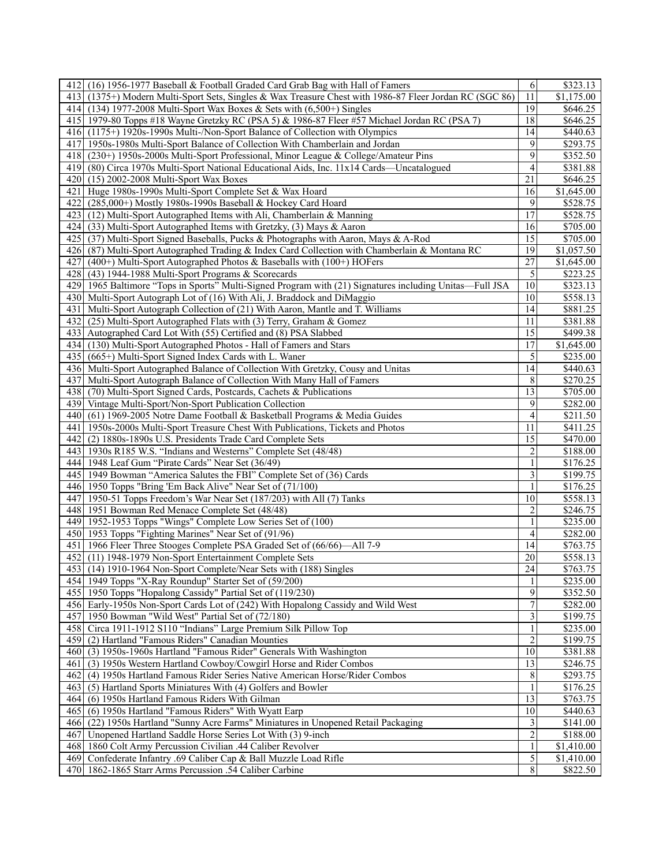| 412 (16) 1956-1977 Baseball & Football Graded Card Grab Bag with Hall of Famers                         | $6 \mid$                | \$323.13              |
|---------------------------------------------------------------------------------------------------------|-------------------------|-----------------------|
| 413 (1375+) Modern Multi-Sport Sets, Singles & Wax Treasure Chest with 1986-87 Fleer Jordan RC (SGC 86) | 11                      | \$1,175.00            |
| 414 (134) 1977-2008 Multi-Sport Wax Boxes & Sets with (6,500+) Singles                                  | 19                      | $\overline{$}646.25$  |
| 415 1979-80 Topps #18 Wayne Gretzky RC (PSA 5) & 1986-87 Fleer #57 Michael Jordan RC (PSA 7)            | 18                      | \$646.25              |
| 416 (1175+) 1920s-1990s Multi-/Non-Sport Balance of Collection with Olympics                            | 14                      | \$440.63              |
|                                                                                                         |                         |                       |
| 417 1950s-1980s Multi-Sport Balance of Collection With Chamberlain and Jordan                           | 9                       | \$293.75              |
| 418 (230+) 1950s-2000s Multi-Sport Professional, Minor League & College/Amateur Pins                    | 9                       | \$352.50              |
| 419 (80) Circa 1970s Multi-Sport National Educational Aids, Inc. 11x14 Cards—Uncatalogued               | 4                       | \$381.88              |
| 420 (15) 2002-2008 Multi-Sport Wax Boxes                                                                | 21                      | \$646.25              |
| 421 Huge 1980s-1990s Multi-Sport Complete Set & Wax Hoard                                               | 16                      | \$1,645.00            |
| 422<br>(285,000+) Mostly 1980s-1990s Baseball & Hockey Card Hoard                                       | 9                       | \$528.75              |
| 423 (12) Multi-Sport Autographed Items with Ali, Chamberlain & Manning                                  | 17                      | \$528.75              |
| 424<br>(33) Multi-Sport Autographed Items with Gretzky, (3) Mays & Aaron                                | 16                      | \$705.00              |
| 425 (37) Multi-Sport Signed Baseballs, Pucks & Photographs with Aaron, Mays & A-Rod                     | 15                      | \$705.00              |
| 426 (87) Multi-Sport Autographed Trading & Index Card Collection with Chamberlain & Montana RC          | 19                      | \$1,057.50            |
| 427<br>$(400+)$ Multi-Sport Autographed Photos & Baseballs with $(100+)$ HOFers                         | 27                      | \$1,645.00            |
| 428 (43) 1944-1988 Multi-Sport Programs & Scorecards                                                    | 5                       | \$223.25              |
| 429 1965 Baltimore "Tops in Sports" Multi-Signed Program with (21) Signatures including Unitas—Full JSA | 10                      | \$323.13              |
|                                                                                                         | 10                      |                       |
| 430 Multi-Sport Autograph Lot of (16) With Ali, J. Braddock and DiMaggio                                |                         | \$558.13              |
| 431 Multi-Sport Autograph Collection of (21) With Aaron, Mantle and T. Williams                         | 14                      | \$881.25              |
| 432 (25) Multi-Sport Autographed Flats with (3) Terry, Graham & Gomez                                   | 11                      | \$381.88              |
| 433 Autographed Card Lot With (55) Certified and (8) PSA Slabbed                                        | 15                      | \$499.38              |
| 434 (130) Multi-Sport Autographed Photos - Hall of Famers and Stars                                     | 17                      | $\overline{1,645.00}$ |
| 435 (665+) Multi-Sport Signed Index Cards with L. Waner                                                 | 5                       | \$235.00              |
| 436 Multi-Sport Autographed Balance of Collection With Gretzky, Cousy and Unitas                        | 14                      | \$440.63              |
| 437 Multi-Sport Autograph Balance of Collection With Many Hall of Famers                                | 8                       | \$270.25              |
| 438 (70) Multi-Sport Signed Cards, Postcards, Cachets & Publications                                    | $\overline{13}$         | \$705.00              |
| 439 Vintage Multi-Sport/Non-Sport Publication Collection                                                | 9                       | \$282.00              |
| 440 (61) 1969-2005 Notre Dame Football & Basketball Programs & Media Guides                             | 4                       | \$211.50              |
| 441   1950s-2000s Multi-Sport Treasure Chest With Publications, Tickets and Photos                      | 11                      | \$411.25              |
| 442 (2) 1880s-1890s U.S. Presidents Trade Card Complete Sets                                            | 15                      | \$470.00              |
| 443 [1930s R185 W.S. "Indians and Westerns" Complete Set (48/48)                                        | $\overline{c}$          | \$188.00              |
| 444 1948 Leaf Gum "Pirate Cards" Near Set (36/49)                                                       | $\mathbf{1}$            | \$176.25              |
| 445 1949 Bowman "America Salutes the FBI" Complete Set of (36) Cards                                    | 3                       | \$199.75              |
|                                                                                                         | 1                       |                       |
| 446 1950 Topps "Bring 'Em Back Alive" Near Set of (71/100)                                              |                         | \$176.25              |
| 447 1950-51 Topps Freedom's War Near Set (187/203) with All (7) Tanks                                   | 10                      | \$558.13              |
| 448 1951 Bowman Red Menace Complete Set (48/48)                                                         | 2                       | \$246.75              |
| 449 1952-1953 Topps "Wings" Complete Low Series Set of (100)                                            | 1                       | \$235.00              |
| 450 1953 Topps "Fighting Marines" Near Set of (91/96)                                                   | 4                       | \$282.00              |
| 451   1966 Fleer Three Stooges Complete PSA Graded Set of (66/66)—All 7-9                               | 14                      | \$763.75              |
| 452 (11) 1948-1979 Non-Sport Entertainment Complete Sets                                                | 20                      | \$558.13              |
| 453 (14) 1910-1964 Non-Sport Complete/Near Sets with (188) Singles                                      | $\overline{24}$         | \$763.75              |
| 454 1949 Topps "X-Ray Roundup" Starter Set of (59/200)                                                  | $\mathbf{1}$            | $\overline{$}235.00$  |
| 455 1950 Topps "Hopalong Cassidy" Partial Set of (119/230)                                              | 9                       | \$352.50              |
| 456 Early-1950s Non-Sport Cards Lot of (242) With Hopalong Cassidy and Wild West                        | 7                       | \$282.00              |
| 457 1950 Bowman "Wild West" Partial Set of (72/180)                                                     | $\overline{\mathbf{3}}$ | \$199.75              |
| 458 Circa 1911-1912 S110 "Indians" Large Premium Silk Pillow Top                                        |                         | \$235.00              |
| 459 (2) Hartland "Famous Riders" Canadian Mounties                                                      | $\overline{c}$          | \$199.75              |
| 460 (3) 1950s-1960s Hartland "Famous Rider" Generals With Washington                                    | 10                      | \$381.88              |
| 461<br>(3) 1950s Western Hartland Cowboy/Cowgirl Horse and Rider Combos                                 | 13                      | \$246.75              |
|                                                                                                         |                         |                       |
| 462<br>(4) 1950s Hartland Famous Rider Series Native American Horse/Rider Combos                        | 8                       | \$293.75              |
| 463<br>(5) Hartland Sports Miniatures With (4) Golfers and Bowler                                       |                         | \$176.25              |
| 464<br>(6) 1950s Hartland Famous Riders With Gilman                                                     | 13                      | \$763.75              |
| (6) 1950s Hartland "Famous Riders" With Wyatt Earp<br>465                                               | 10                      | \$440.63              |
| (22) 1950s Hartland "Sunny Acre Farms" Miniatures in Unopened Retail Packaging<br>466                   | 3                       | \$141.00              |
| 467<br>Unopened Hartland Saddle Horse Series Lot With (3) 9-inch                                        | $\overline{2}$          | \$188.00              |
| 468<br>1860 Colt Army Percussion Civilian .44 Caliber Revolver                                          |                         | $\overline{1,}410.00$ |
| Confederate Infantry .69 Caliber Cap & Ball Muzzle Load Rifle<br>469                                    | $\vert 5 \vert$         | \$1,410.00            |
| 1862-1865 Starr Arms Percussion .54 Caliber Carbine<br>470                                              | 8                       | \$822.50              |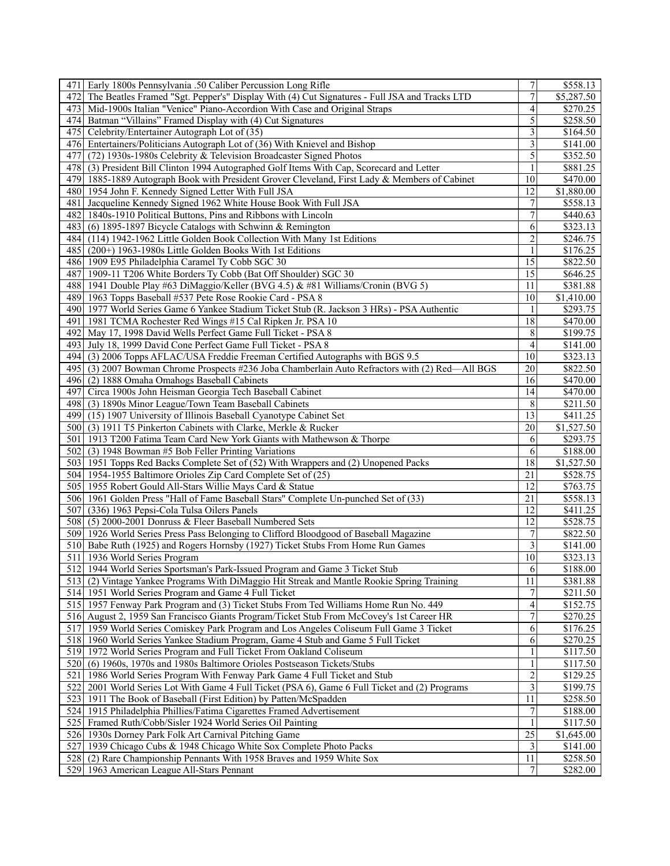| 4711 | Early 1800s Pennsylvania .50 Caliber Percussion Long Rifle                                                           | $\boldsymbol{7}$        | \$558.13              |
|------|----------------------------------------------------------------------------------------------------------------------|-------------------------|-----------------------|
| 472  | The Beatles Framed "Sgt. Pepper's" Display With (4) Cut Signatures - Full JSA and Tracks LTD                         | $\overline{7}$          | \$5,287.50            |
| 473  | Mid-1900s Italian "Venice" Piano-Accordion With Case and Original Straps                                             | 4                       | \$270.25              |
| 4741 | Batman "Villains" Framed Display with (4) Cut Signatures                                                             | 5                       | \$258.50              |
|      | 475 Celebrity/Entertainer Autograph Lot of (35)                                                                      | 3                       | \$164.50              |
|      | 476 Entertainers/Politicians Autograph Lot of (36) With Knievel and Bishop                                           | 3                       | \$141.00              |
| 477  | (72) 1930s-1980s Celebrity & Television Broadcaster Signed Photos                                                    | $\overline{5}$          | \$352.50              |
| 478  | (3) President Bill Clinton 1994 Autographed Golf Items With Cap, Scorecard and Letter                                |                         | $\overline{$881.25}$  |
|      | 479 1885-1889 Autograph Book with President Grover Cleveland, First Lady & Members of Cabinet                        | 10                      | \$470.00              |
|      | 480 1954 John F. Kennedy Signed Letter With Full JSA                                                                 | 12                      | \$1,880.00            |
|      |                                                                                                                      |                         |                       |
| 481  | Jacqueline Kennedy Signed 1962 White House Book With Full JSA                                                        | $\boldsymbol{7}$        | \$558.13              |
|      | 482   1840s-1910 Political Buttons, Pins and Ribbons with Lincoln                                                    | $\overline{7}$          | \$440.63              |
|      | 483 (6) 1895-1897 Bicycle Catalogs with Schwinn & Remington                                                          | 6                       | \$323.13              |
|      | 484 (114) 1942-1962 Little Golden Book Collection With Many 1st Editions                                             | $\overline{c}$          | \$246.75              |
|      | 485 (200+) 1963-1980s Little Golden Books With 1st Editions                                                          | 1                       | \$176.25              |
|      | 486 1909 E95 Philadelphia Caramel Ty Cobb SGC 30                                                                     | 15                      | \$822.50              |
|      | 487 1909-11 T206 White Borders Ty Cobb (Bat Off Shoulder) SGC 30                                                     | $\overline{15}$         | \$646.25              |
|      | 488 1941 Double Play #63 DiMaggio/Keller (BVG 4.5) & #81 Williams/Cronin (BVG 5)                                     | 11                      | \$381.88              |
|      | 489 1963 Topps Baseball #537 Pete Rose Rookie Card - PSA 8                                                           | 10                      | \$1,410.00            |
|      | 490 1977 World Series Game 6 Yankee Stadium Ticket Stub (R. Jackson 3 HRs) - PSA Authentic                           | 1                       | \$293.75              |
| 491  | 1981 TCMA Rochester Red Wings #15 Cal Ripken Jr. PSA 10                                                              | 18                      | \$470.00              |
| 492  | May 17, 1998 David Wells Perfect Game Full Ticket - PSA 8                                                            | 8                       | \$199.75              |
|      | 493 July 18, 1999 David Cone Perfect Game Full Ticket - PSA 8                                                        | $\overline{4}$          | \$141.00              |
| 4941 | (3) 2006 Topps AFLAC/USA Freddie Freeman Certified Autographs with BGS 9.5                                           | 10                      | \$323.13              |
|      | 495 (3) 2007 Bowman Chrome Prospects #236 Joba Chamberlain Auto Refractors with (2) Red—All BGS                      | 20                      | \$822.50              |
| 496  | (2) 1888 Omaha Omahogs Baseball Cabinets                                                                             | 16                      | \$470.00              |
|      | 497 Circa 1900s John Heisman Georgia Tech Baseball Cabinet                                                           | 14                      | \$470.00              |
|      | 498 (3) 1890s Minor League/Town Team Baseball Cabinets                                                               | 8                       | \$211.50              |
|      | 499 (15) 1907 University of Illinois Baseball Cyanotype Cabinet Set                                                  | 13                      | \$411.25              |
|      | 500 (3) 1911 T5 Pinkerton Cabinets with Clarke, Merkle & Rucker                                                      | 20                      | $\overline{1,527.50}$ |
|      | 1913 T200 Fatima Team Card New York Giants with Mathewson & Thorpe                                                   | 6                       | \$293.75              |
| 501  |                                                                                                                      |                         |                       |
|      | 502 (3) 1948 Bowman #5 Bob Feller Printing Variations                                                                | 6                       | \$188.00              |
|      | 503 1951 Topps Red Backs Complete Set of (52) With Wrappers and (2) Unopened Packs                                   | $\overline{18}$         | \$1,527.50            |
|      | 504 1954-1955 Baltimore Orioles Zip Card Complete Set of (25)                                                        | 21                      | \$528.75              |
|      | 505 1955 Robert Gould All-Stars Willie Mays Card & Statue                                                            | 12                      |                       |
|      | 506 1961 Golden Press "Hall of Fame Baseball Stars" Complete Un-punched Set of (33)                                  |                         | \$763.75              |
|      |                                                                                                                      | 21                      | \$558.13              |
|      | 507 (336) 1963 Pepsi-Cola Tulsa Oilers Panels                                                                        | 12                      | \$411.25              |
|      | 508 (5) 2000-2001 Donruss & Fleer Baseball Numbered Sets                                                             | 12                      | \$528.75              |
|      | 509 1926 World Series Press Pass Belonging to Clifford Bloodgood of Baseball Magazine                                | 7                       | \$822.50              |
|      | 510 Babe Ruth (1925) and Rogers Hornsby (1927) Ticket Stubs From Home Run Games                                      | 3                       | \$141.00              |
|      | 511 1936 World Series Program                                                                                        | 10                      | \$323.13              |
|      | 512 1944 World Series Sportsman's Park-Issued Program and Game 3 Ticket Stub                                         | 6                       | \$188.00              |
|      | 513 (2) Vintage Yankee Programs With DiMaggio Hit Streak and Mantle Rookie Spring Training                           | 11                      | \$381.88              |
|      | 514 1951 World Series Program and Game 4 Full Ticket                                                                 |                         | \$211.50              |
|      |                                                                                                                      | 4                       |                       |
|      | 515   1957 Fenway Park Program and (3) Ticket Stubs From Ted Williams Home Run No. 449                               | 7                       | \$152.75<br>\$270.25  |
|      | 516 August 2, 1959 San Francisco Giants Program/Ticket Stub From McCovey's 1st Career HR                             |                         |                       |
|      | 517 1959 World Series Comiskey Park Program and Los Angeles Coliseum Full Game 3 Ticket                              | 6<br>6                  | \$176.25              |
|      | 518 1960 World Series Yankee Stadium Program, Game 4 Stub and Game 5 Full Ticket                                     | 1                       | \$270.25              |
|      | 519 1972 World Series Program and Full Ticket From Oakland Coliseum                                                  |                         | \$117.50              |
|      | 520 (6) 1960s, 1970s and 1980s Baltimore Orioles Postseason Tickets/Stubs                                            |                         | \$117.50              |
| 521  | 1986 World Series Program With Fenway Park Game 4 Full Ticket and Stub                                               | $\overline{\mathbf{c}}$ | \$129.25              |
|      | 522 2001 World Series Lot With Game 4 Full Ticket (PSA 6), Game 6 Full Ticket and (2) Programs                       | $\overline{3}$          | \$199.75              |
|      | 523 1911 The Book of Baseball (First Edition) by Patten/McSpadden                                                    | 11                      | \$258.50              |
|      | 524 1915 Philadelphia Phillies/Fatima Cigarettes Framed Advertisement                                                | 7                       | \$188.00              |
|      | 525 Framed Ruth/Cobb/Sisler 1924 World Series Oil Painting                                                           |                         | \$117.50              |
|      | 526 1930s Dorney Park Folk Art Carnival Pitching Game                                                                | 25                      | \$1,645.00            |
|      | 527 1939 Chicago Cubs & 1948 Chicago White Sox Complete Photo Packs                                                  | 3                       | \$141.00              |
|      | 528 (2) Rare Championship Pennants With 1958 Braves and 1959 White Sox<br>529 1963 American League All-Stars Pennant | 11<br>7                 | \$258.50<br>\$282.00  |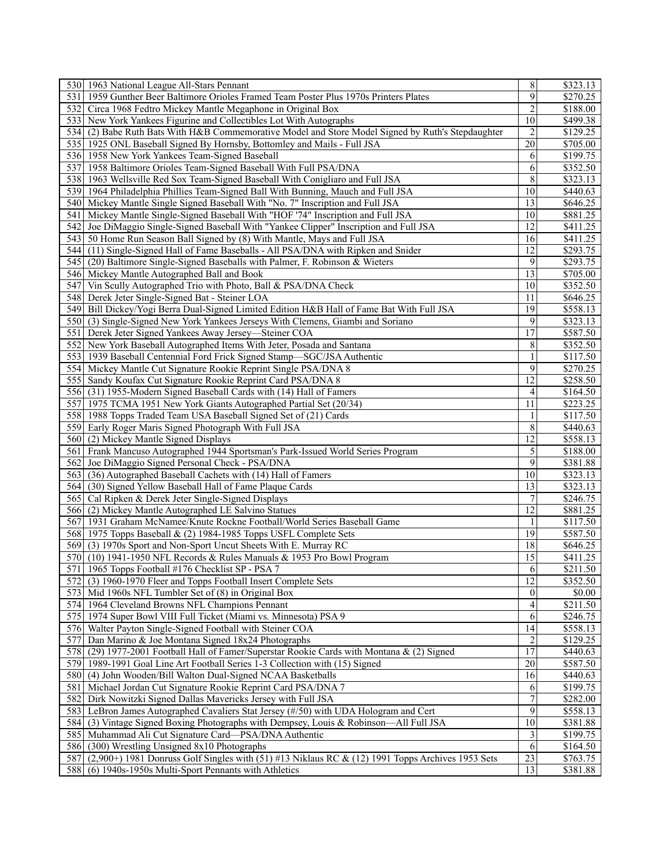|                  | 530 1963 National League All-Stars Pennant                                                         | $\,$ $\,$       | \$323.13             |
|------------------|----------------------------------------------------------------------------------------------------|-----------------|----------------------|
| 531              | 1959 Gunther Beer Baltimore Orioles Framed Team Poster Plus 1970s Printers Plates                  | $\overline{9}$  | \$270.25             |
|                  | 532 Circa 1968 Fedtro Mickey Mantle Megaphone in Original Box                                      | $\overline{c}$  | \$188.00             |
|                  | 533 New York Yankees Figurine and Collectibles Lot With Autographs                                 | 10              | \$499.38             |
|                  | 534 (2) Babe Ruth Bats With H&B Commemorative Model and Store Model Signed by Ruth's Stepdaughter  | $\overline{2}$  | \$129.25             |
|                  | 535 1925 ONL Baseball Signed By Hornsby, Bottomley and Mails - Full JSA                            | 20              | \$705.00             |
|                  | 536 1958 New York Yankees Team-Signed Baseball                                                     | 6               | \$199.75             |
|                  | 537 1958 Baltimore Orioles Team-Signed Baseball With Full PSA/DNA                                  | 6               | \$352.50             |
|                  | 538 1963 Wellsville Red Sox Team-Signed Baseball With Conigliaro and Full JSA                      | 8               | \$323.13             |
|                  | 539 1964 Philadelphia Phillies Team-Signed Ball With Bunning, Mauch and Full JSA                   | 10              | \$440.63             |
|                  | 540 Mickey Mantle Single Signed Baseball With "No. 7" Inscription and Full JSA                     | 13              | \$646.25             |
|                  | 541 Mickey Mantle Single-Signed Baseball With "HOF '74" Inscription and Full JSA                   | 10              | \$881.25             |
|                  | 542 Joe DiMaggio Single-Signed Baseball With "Yankee Clipper" Inscription and Full JSA             | 12              | $\overline{$411.25}$ |
|                  | 543 50 Home Run Season Ball Signed by (8) With Mantle, Mays and Full JSA                           | 16              | \$411.25             |
|                  | 544 (11) Single-Signed Hall of Fame Baseballs - All PSA/DNA with Ripken and Snider                 | 12              | \$293.75             |
|                  | 545 (20) Baltimore Single-Signed Baseballs with Palmer, F. Robinson & Wieters                      | 9               | \$293.75             |
|                  | 546 Mickey Mantle Autographed Ball and Book                                                        | $\overline{13}$ | \$705.00             |
|                  | 547 Vin Scully Autographed Trio with Photo, Ball & PSA/DNA Check                                   | 10              | \$352.50             |
|                  | 548 Derek Jeter Single-Signed Bat - Steiner LOA                                                    | 11              | \$646.25             |
|                  | 549 Bill Dickey/Yogi Berra Dual-Signed Limited Edition H&B Hall of Fame Bat With Full JSA          | 19              | \$558.13             |
|                  | 550 (3) Single-Signed New York Yankees Jerseys With Clemens, Giambi and Soriano                    | 9               | \$323.13             |
|                  | 551 Derek Jeter Signed Yankees Away Jersey—Steiner COA                                             | 17              | \$587.50             |
|                  |                                                                                                    |                 |                      |
|                  | 552 New York Baseball Autographed Items With Jeter, Posada and Santana                             | 8               | \$352.50             |
|                  | 553 1939 Baseball Centennial Ford Frick Signed Stamp-SGC/JSA Authentic                             | 1               | \$117.50             |
|                  | 554 Mickey Mantle Cut Signature Rookie Reprint Single PSA/DNA 8                                    | 9               | \$270.25             |
|                  | 555 Sandy Koufax Cut Signature Rookie Reprint Card PSA/DNA 8                                       | 12              | \$258.50             |
|                  | 556 (31) 1955-Modern Signed Baseball Cards with (14) Hall of Famers                                | 4               | \$164.50             |
|                  | 557 1975 TCMA 1951 New York Giants Autographed Partial Set (20/34)                                 | 11              | \$223.25             |
|                  | 558 1988 Topps Traded Team USA Baseball Signed Set of (21) Cards                                   | 1               | \$117.50             |
|                  | 559 Early Roger Maris Signed Photograph With Full JSA                                              | 8               | \$440.63             |
|                  | 560 (2) Mickey Mantle Signed Displays                                                              | 12              | \$558.13             |
|                  | 561 Frank Mancuso Autographed 1944 Sportsman's Park-Issued World Series Program                    | $\overline{5}$  | \$188.00             |
|                  | 562 Joe DiMaggio Signed Personal Check - PSA/DNA                                                   | 9               | \$381.88             |
|                  | 563 (36) Autographed Baseball Cachets with (14) Hall of Famers                                     | 10              | \$323.13             |
|                  | 564 (30) Signed Yellow Baseball Hall of Fame Plaque Cards                                          | 13              | \$323.13             |
| 565              | Cal Ripken & Derek Jeter Single-Signed Displays                                                    | 7               | \$246.75             |
|                  | 566 (2) Mickey Mantle Autographed LE Salvino Statues                                               | 12              | \$881.25             |
|                  | 567 1931 Graham McNamee/Knute Rockne Football/World Series Baseball Game                           |                 | $\overline{$117.50}$ |
|                  | 568 1975 Topps Baseball & (2) 1984-1985 Topps USFL Complete Sets                                   | 19              | \$587.50             |
|                  | 569 (3) 1970s Sport and Non-Sport Uncut Sheets With E. Murray RC                                   | 18              | \$646.25             |
|                  | 570 (10) 1941-1950 NFL Records & Rules Manuals & 1953 Pro Bowl Program                             | 15              | \$411.25             |
|                  | 571 1965 Topps Football #176 Checklist SP - PSA 7                                                  | 6               | \$211.50             |
|                  | 572 (3) 1960-1970 Fleer and Topps Football Insert Complete Sets                                    | $\overline{12}$ | \$352.50             |
|                  | 573 Mid 1960s NFL Tumbler Set of (8) in Original Box                                               | $\mathbf{0}$    | \$0.00               |
|                  | 574 1964 Cleveland Browns NFL Champions Pennant                                                    | 4               | \$211.50             |
| 575 <sub>1</sub> | 1974 Super Bowl VIII Full Ticket (Miami vs. Minnesota) PSA 9                                       | 6               | \$246.75             |
|                  | 576 Walter Payton Single-Signed Football with Steiner COA                                          | $\overline{14}$ | \$558.13             |
| 577              | Dan Marino & Joe Montana Signed 18x24 Photographs                                                  | 2               | \$129.25             |
|                  | 578 (29) 1977-2001 Football Hall of Famer/Superstar Rookie Cards with Montana & (2) Signed         | 17              | \$440.63             |
|                  | 579 1989-1991 Goal Line Art Football Series 1-3 Collection with (15) Signed                        | $\overline{20}$ | \$587.50             |
|                  | 580 (4) John Wooden/Bill Walton Dual-Signed NCAA Basketballs                                       | 16              | \$440.63             |
| 581              | Michael Jordan Cut Signature Rookie Reprint Card PSA/DNA 7                                         | 6               | \$199.75             |
| 582              | Dirk Nowitzki Signed Dallas Mavericks Jersey with Full JSA                                         | $\overline{7}$  | \$282.00             |
|                  | 583 LeBron James Autographed Cavaliers Stat Jersey (#/50) with UDA Hologram and Cert               | 9               |                      |
|                  |                                                                                                    | 10              | \$558.13             |
|                  | 584 (3) Vintage Signed Boxing Photographs with Dempsey, Louis & Robinson—All Full JSA              |                 | \$381.88             |
| 585              | Muhammad Ali Cut Signature Card-PSA/DNA Authentic                                                  | 3               | \$199.75             |
|                  | 586 (300) Wrestling Unsigned 8x10 Photographs                                                      | $\overline{6}$  | \$164.50             |
| 587              | $(2,900+)$ 1981 Donruss Golf Singles with (51) #13 Niklaus RC & (12) 1991 Topps Archives 1953 Sets | $\overline{23}$ | \$763.75             |
|                  | 588 (6) 1940s-1950s Multi-Sport Pennants with Athletics                                            | 13              | \$381.88             |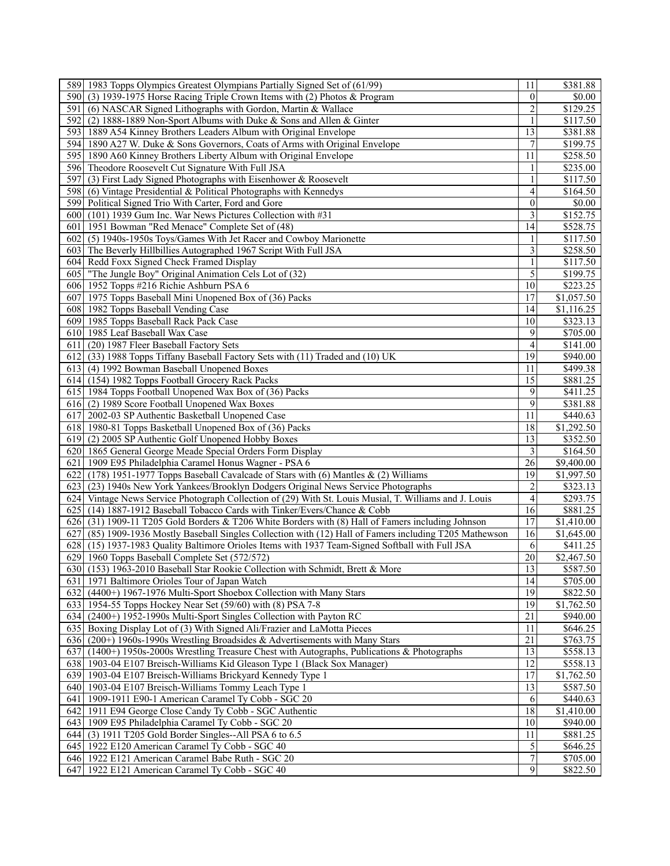| 589 1983 Topps Olympics Greatest Olympians Partially Signed Set of (61/99)                                  | 11                       | \$381.88                |
|-------------------------------------------------------------------------------------------------------------|--------------------------|-------------------------|
| 590<br>(3) 1939-1975 Horse Racing Triple Crown Items with (2) Photos & Program                              | $\theta$                 | \$0.00                  |
| 591<br>(6) NASCAR Signed Lithographs with Gordon, Martin & Wallace                                          | $\overline{c}$           | \$129.25                |
| 592<br>(2) 1888-1889 Non-Sport Albums with Duke & Sons and Allen & Ginter                                   | 1                        | \$117.50                |
| 593<br>1889 A54 Kinney Brothers Leaders Album with Original Envelope                                        | 13                       | \$381.88                |
| 594 1890 A27 W. Duke & Sons Governors, Coats of Arms with Original Envelope                                 | $\overline{7}$           | \$199.75                |
| 595I<br>1890 A60 Kinney Brothers Liberty Album with Original Envelope                                       | 11                       | \$258.50                |
| 596 Theodore Roosevelt Cut Signature With Full JSA                                                          |                          | \$235.00                |
| 597<br>(3) First Lady Signed Photographs with Eisenhower & Roosevelt                                        |                          | \$117.50                |
| 598 (6) Vintage Presidential & Political Photographs with Kennedys                                          | 4                        | \$164.50                |
| 599I<br>Political Signed Trio With Carter, Ford and Gore                                                    | $\mathbf{0}$             | \$0.00                  |
| 600<br>(101) 1939 Gum Inc. War News Pictures Collection with #31                                            | $\overline{3}$           | \$152.75                |
| 1951 Bowman "Red Menace" Complete Set of (48)<br>6011                                                       | 14                       | \$528.75                |
| (5) 1940s-1950s Toys/Games With Jet Racer and Cowboy Marionette<br>6021                                     |                          | \$117.50                |
| 603 The Beverly Hillbillies Autographed 1967 Script With Full JSA                                           | 3                        | \$258.50                |
| 604 Redd Foxx Signed Check Framed Display                                                                   | 1                        | \$117.50                |
| 6051<br>"The Jungle Boy" Original Animation Cels Lot of (32)                                                | $\overline{5}$           | \$199.75                |
|                                                                                                             | 10                       | \$223.25                |
| 606 1952 Topps #216 Richie Ashburn PSA 6                                                                    |                          |                         |
| 607 1975 Topps Baseball Mini Unopened Box of (36) Packs                                                     | 17                       | \$1,057.50              |
| 608 1982 Topps Baseball Vending Case                                                                        | 14                       | \$1,116.25              |
| 609 1985 Topps Baseball Rack Pack Case                                                                      | 10                       | \$323.13                |
| 610 1985 Leaf Baseball Wax Case                                                                             | 9                        | \$705.00                |
| (20) 1987 Fleer Baseball Factory Sets<br>611                                                                | 4                        | \$141.00                |
| (33) 1988 Topps Tiffany Baseball Factory Sets with (11) Traded and (10) UK<br>6121                          | 19                       | \$940.00                |
| 613 (4) 1992 Bowman Baseball Unopened Boxes                                                                 | 11                       | \$499.38                |
| 614 (154) 1982 Topps Football Grocery Rack Packs                                                            | 15                       | \$881.25                |
| 615 1984 Topps Football Unopened Wax Box of (36) Packs                                                      | 9                        | \$411.25                |
| 616 (2) 1989 Score Football Unopened Wax Boxes                                                              | 9                        | \$381.88                |
| 617 2002-03 SP Authentic Basketball Unopened Case                                                           | 11                       | \$440.63                |
| 618 1980-81 Topps Basketball Unopened Box of (36) Packs                                                     | 18                       | \$1,292.50              |
| 619 (2) 2005 SP Authentic Golf Unopened Hobby Boxes                                                         | 13                       | \$352.50                |
| 620 1865 General George Meade Special Orders Form Display                                                   | 3                        | \$164.50                |
| 621<br>1909 E95 Philadelphia Caramel Honus Wagner - PSA 6                                                   | 26                       | $\overline{89}$ ,400.00 |
| 622 (178) 1951-1977 Topps Baseball Cavalcade of Stars with (6) Mantles $\&$ (2) Williams                    | 19                       | \$1,997.50              |
| 623 (23) 1940s New York Yankees/Brooklyn Dodgers Original News Service Photographs                          | $\overline{c}$           | \$323.13                |
| 624 Vintage News Service Photograph Collection of (29) With St. Louis Musial, T. Williams and J. Louis      | $\overline{\mathcal{A}}$ | \$293.75                |
| 625 (14) 1887-1912 Baseball Tobacco Cards with Tinker/Evers/Chance & Cobb                                   | $\overline{16}$          | \$881.25                |
| 626 (31) 1909-11 T205 Gold Borders & T206 White Borders with (8) Hall of Famers including Johnson           | 17                       | \$1,410.00              |
| (85) 1909-1936 Mostly Baseball Singles Collection with (12) Hall of Famers including T205 Mathewson<br>6271 | 16                       | \$1,645.00              |
| 628<br>(15) 1937-1983 Quality Baltimore Orioles Items with 1937 Team-Signed Softball with Full JSA          | 6                        | \$411.25                |
| 629 1960 Topps Baseball Complete Set (572/572)                                                              | 20                       | \$2,467.50              |
| 630 (153) 1963-2010 Baseball Star Rookie Collection with Schmidt, Brett & More                              | 13                       | \$587.50                |
| 631 1971 Baltimore Orioles Tour of Japan Watch                                                              | 4                        | \$705.00                |
| 632 (4400+) 1967-1976 Multi-Sport Shoebox Collection with Many Stars                                        | 19                       | \$822.50                |
| 633 1954-55 Topps Hockey Near Set (59/60) with (8) PSA 7-8                                                  | 19                       | \$1,762.50              |
| 634 (2400+) 1952-1990s Multi-Sport Singles Collection with Payton RC                                        | 21                       | \$940.00                |
| 635 Boxing Display Lot of (3) With Signed Ali/Frazier and LaMotta Pieces                                    | 11                       | \$646.25                |
| 636 (200+) 1960s-1990s Wrestling Broadsides & Advertisements with Many Stars                                | $\overline{21}$          | \$763.75                |
| $637$ (1400+) 1950s-2000s Wrestling Treasure Chest with Autographs, Publications & Photographs              | 13                       | \$558.13                |
| 638 1903-04 E107 Breisch-Williams Kid Gleason Type 1 (Black Sox Manager)                                    | $\overline{12}$          | \$558.13                |
| 639 1903-04 E107 Breisch-Williams Brickyard Kennedy Type 1                                                  | 17                       | \$1,762.50              |
| 640 1903-04 E107 Breisch-Williams Tommy Leach Type 1                                                        | $\overline{13}$          | \$587.50                |
| 641 1909-1911 E90-1 American Caramel Ty Cobb - SGC 20                                                       | 6                        | \$440.63                |
| 642 1911 E94 George Close Candy Ty Cobb - SGC Authentic                                                     | 18                       | \$1,410.00              |
| 643 1909 E95 Philadelphia Caramel Ty Cobb - SGC 20                                                          | 10                       | \$940.00                |
| (3) 1911 T205 Gold Border Singles--All PSA 6 to 6.5<br>644                                                  | 11                       | \$881.25                |
| 645 1922 E120 American Caramel Ty Cobb - SGC 40                                                             | $\overline{5}$           | \$646.25                |
| 646 1922 E121 American Caramel Babe Ruth - SGC 20                                                           | $\overline{7}$           | \$705.00                |
| 647 1922 E121 American Caramel Ty Cobb - SGC 40                                                             | $\overline{9}$           | \$822.50                |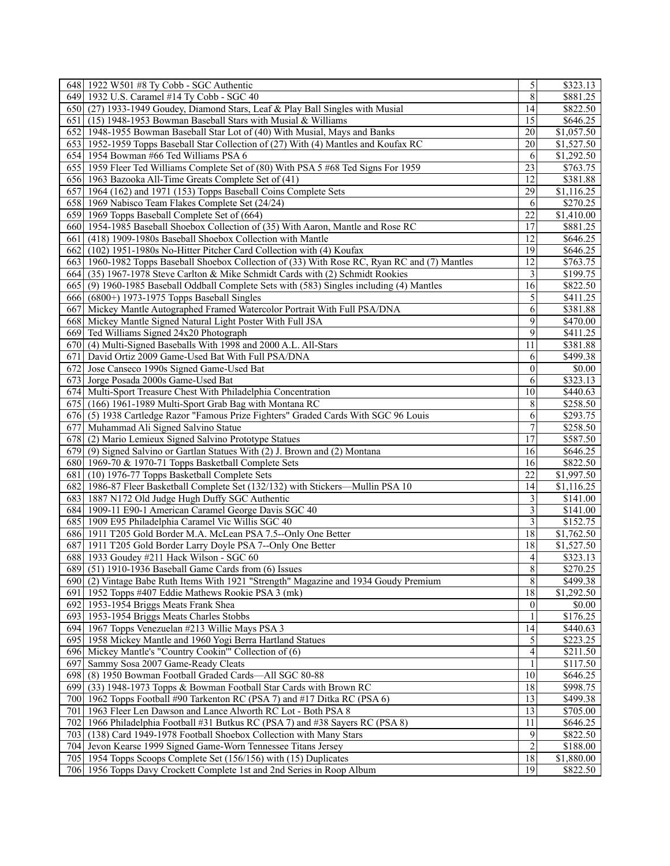| 648 1922 W501 #8 Ty Cobb - SGC Authentic                                                      | 5                  | \$323.13               |
|-----------------------------------------------------------------------------------------------|--------------------|------------------------|
| 649 1932 U.S. Caramel #14 Ty Cobb - SGC 40                                                    | 8                  | \$881.25               |
| 650 (27) 1933-1949 Goudey, Diamond Stars, Leaf & Play Ball Singles with Musial                | 14                 | \$822.50               |
| 651 (15) 1948-1953 Bowman Baseball Stars with Musial & Williams                               | 15                 | \$646.25               |
| 652 1948-1955 Bowman Baseball Star Lot of (40) With Musial, Mays and Banks                    | 20                 | \$1,057.50             |
| 653 1952-1959 Topps Baseball Star Collection of (27) With (4) Mantles and Koufax RC           | 20                 | \$1,527.50             |
| 654 1954 Bowman #66 Ted Williams PSA 6                                                        | 6                  | \$1,292.50             |
| 655 1959 Fleer Ted Williams Complete Set of (80) With PSA 5 #68 Ted Signs For 1959            | 23                 | \$763.75               |
| 656 1963 Bazooka All-Time Greats Complete Set of (41)                                         | 12                 | \$381.88               |
| 657 1964 (162) and 1971 (153) Topps Baseball Coins Complete Sets                              | 29                 |                        |
|                                                                                               |                    | \$1,116.25             |
| 658 1969 Nabisco Team Flakes Complete Set (24/24)                                             | 6                  | \$270.25               |
| 659 1969 Topps Baseball Complete Set of (664)                                                 | 22                 | \$1,410.00             |
| 660 1954-1985 Baseball Shoebox Collection of (35) With Aaron, Mantle and Rose RC              | 17                 | \$881.25               |
| 661 (418) 1909-1980s Baseball Shoebox Collection with Mantle                                  | 12                 | \$646.25               |
| 662 (102) 1951-1980s No-Hitter Pitcher Card Collection with (4) Koufax                        | 19                 | \$646.25               |
| 663 1960-1982 Topps Baseball Shoebox Collection of (33) With Rose RC, Ryan RC and (7) Mantles | 12                 | \$763.75               |
| 664 (35) 1967-1978 Steve Carlton & Mike Schmidt Cards with (2) Schmidt Rookies                | 3                  | \$199.75               |
| 665 (9) 1960-1985 Baseball Oddball Complete Sets with (583) Singles including (4) Mantles     | 16                 | \$822.50               |
| 666 (6800+) 1973-1975 Topps Baseball Singles                                                  | 5                  | \$411.25               |
| 667 Mickey Mantle Autographed Framed Watercolor Portrait With Full PSA/DNA                    | 6                  | \$381.88               |
| 668 Mickey Mantle Signed Natural Light Poster With Full JSA                                   | 9                  | \$470.00               |
| 669 Ted Williams Signed 24x20 Photograph                                                      | 9                  | \$411.25               |
| 670 (4) Multi-Signed Baseballs With 1998 and 2000 A.L. All-Stars                              | 11                 | \$381.88               |
| 671 David Ortiz 2009 Game-Used Bat With Full PSA/DNA                                          | 6                  | \$499.38               |
| 672 Jose Canseco 1990s Signed Game-Used Bat                                                   | $\boldsymbol{0}$   | \$0.00                 |
| 673 Jorge Posada 2000s Game-Used Bat                                                          | 6                  | \$323.13               |
| 674 Multi-Sport Treasure Chest With Philadelphia Concentration                                | 10                 | \$440.63               |
| 675 (166) 1961-1989 Multi-Sport Grab Bag with Montana RC                                      | 8                  | \$258.50               |
|                                                                                               | 6                  |                        |
| 676 (5) 1938 Cartledge Razor "Famous Prize Fighters" Graded Cards With SGC 96 Louis           |                    | \$293.75               |
| 677 Muhammad Ali Signed Salvino Statue                                                        | $\boldsymbol{7}$   | \$258.50               |
| 678 (2) Mario Lemieux Signed Salvino Prototype Statues                                        | 17                 | \$587.50               |
| 679 (9) Signed Salvino or Gartlan Statues With (2) J. Brown and (2) Montana                   | 16                 | \$646.25               |
| 680 1969-70 & 1970-71 Topps Basketball Complete Sets                                          | 16                 | \$822.50               |
| 681 (10) 1976-77 Topps Basketball Complete Sets                                               | $\overline{22}$    | \$1,997.50             |
| 682 1986-87 Fleer Basketball Complete Set (132/132) with Stickers—Mullin PSA 10               | 14                 | \$1,116.25             |
| 683 1887 N172 Old Judge Hugh Duffy SGC Authentic                                              | 3                  | \$141.00               |
| 684 1909-11 E90-1 American Caramel George Davis SGC 40                                        | 3                  | \$141.00               |
| 685 1909 E95 Philadelphia Caramel Vic Willis SGC 40                                           | 3                  | \$152.75               |
| 686 1911 T205 Gold Border M.A. McLean PSA 7.5--Only One Better                                | 18                 | \$1,762.50             |
| 687 1911 T205 Gold Border Larry Doyle PSA 7--Only One Better                                  | 18                 | \$1,527.50             |
| 688 1933 Goudey #211 Hack Wilson - SGC 60                                                     | 4                  | \$323.13               |
| 689 (51) 1910-1936 Baseball Game Cards from (6) Issues                                        | $\overline{\bf 8}$ | \$270.25               |
| 690 (2) Vintage Babe Ruth Items With 1921 "Strength" Magazine and 1934 Goudy Premium          | $\overline{8}$     | \$499.38               |
| 691 1952 Topps #407 Eddie Mathews Rookie PSA 3 (mk)                                           | 18                 | \$1,292.50             |
| 692 1953-1954 Briggs Meats Frank Shea                                                         | $\mathbf{0}$       | \$0.00                 |
| 693 1953-1954 Briggs Meats Charles Stobbs                                                     |                    | \$176.25               |
| 694 1967 Topps Venezuelan #213 Willie Mays PSA 3                                              | 14                 | \$440.63               |
| 695 1958 Mickey Mantle and 1960 Yogi Berra Hartland Statues                                   | 5                  | \$223.25               |
| 696 Mickey Mantle's "Country Cookin" Collection of (6)                                        | 4                  | \$211.50               |
| Sammy Sosa 2007 Game-Ready Cleats<br>6971                                                     |                    | \$117.50               |
| 698 (8) 1950 Bowman Football Graded Cards—All SGC 80-88                                       | 10                 | \$646.25               |
| 699 (33) 1948-1973 Topps & Bowman Football Star Cards with Brown RC                           | 18                 | \$998.75               |
|                                                                                               |                    |                        |
| 700 1962 Topps Football #90 Tarkenton RC (PSA 7) and #17 Ditka RC (PSA 6)                     | 13                 | \$499.38               |
| 1963 Fleer Len Dawson and Lance Alworth RC Lot - Both PSA 8<br>701                            | 13                 | \$705.00               |
| 702<br>1966 Philadelphia Football #31 Butkus RC (PSA 7) and #38 Sayers RC (PSA 8)             | 11                 | \$646.25               |
| (138) Card 1949-1978 Football Shoebox Collection with Many Stars<br>703                       | 9                  | \$822.50               |
| 704 Jevon Kearse 1999 Signed Game-Worn Tennessee Titans Jersey                                | $\overline{2}$     | \$188.00               |
| 705 1954 Topps Scoops Complete Set (156/156) with (15) Duplicates                             | $\overline{18}$    | \$1,880.00<br>\$822.50 |
| 706 1956 Topps Davy Crockett Complete 1st and 2nd Series in Roop Album                        | 19                 |                        |